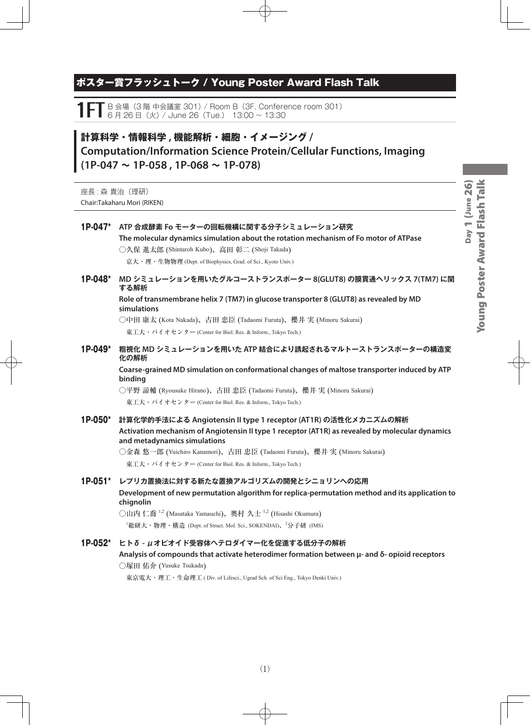# ポスター賞フラッシュトーク / Young Poster Award Flash Talk

1 FT B 会場 (3 階 中会議室 301) / Room B (3F, Conference room 301)<br>1 S B B B (火) / June 26 (Tue.) 13:00 ~ 13:30

# **計算科学・情報科学 , 機能解析・細胞・イメージング / Computation/Information Science Protein/Cellular Functions, Imaging (1P-047 ~ 1P-058 , 1P-068 ~ 1P-078)**

座長: 森貴治(理研) Chair:Takaharu Mori (RIKEN)

| 1P-047* | ATP 合成酵素 Fo モーターの回転機構に関する分子シミュレーション研究<br>The molecular dynamics simulation about the rotation mechanism of Fo motor of ATPase<br>○久保 進太郎 (Shintaroh Kubo)、高田 彰二 (Shoji Takada)<br>京大・理・生物物理 (Dept. of Biophysics, Grad. of Sci., Kyoto Univ.) |  |  |
|---------|-----------------------------------------------------------------------------------------------------------------------------------------------------------------------------------------------------------------------------------------------|--|--|
| 1P-048* | MD シミュレーションを用いたグルコーストランスポーター 8(GLUT8) の膜貫通ヘリックス 7(TM7) に関<br>する解析                                                                                                                                                                             |  |  |
|         | Role of transmembrane helix 7 (TM7) in glucose transporter 8 (GLUT8) as revealed by MD<br>simulations                                                                                                                                         |  |  |
|         | ○中田 康太 (Kota Nakada)、古田 忠臣 (Tadaomi Furuta)、櫻井 実 (Minoru Sakurai)                                                                                                                                                                             |  |  |
|         | 東工大・バイオセンター (Center for Biol. Res. & Inform., Tokyo Tech.)                                                                                                                                                                                    |  |  |
| 1P-049* | 粗視化 MD シミュレーションを用いた ATP 結合により誘起されるマルトーストランスポーターの構造変<br>化の解析                                                                                                                                                                                   |  |  |
|         | Coarse-grained MD simulation on conformational changes of maltose transporter induced by ATP<br>binding                                                                                                                                       |  |  |
|         | ○平野 諒輔 (Ryousuke Hirano)、古田 忠臣 (Tadaomi Furuta)、櫻井 実 (Minoru Sakurai)                                                                                                                                                                         |  |  |
|         | 東工大・バイオセンター (Center for Biol. Res. & Inform., Tokyo Tech.)                                                                                                                                                                                    |  |  |
| 1P-050* | 計算化学的手法による Angiotensin Il type 1 receptor (AT1R) の活性化メカニズムの解析<br>Activation mechanism of Angiotensin II type 1 receptor (AT1R) as revealed by molecular dynamics<br>and metadynamics simulations                                              |  |  |
|         | ○金森 悠一郎 (Yuichiro Kanamori)、古田 忠臣 (Tadaomi Furuta)、櫻井 実 (Minoru Sakurai)                                                                                                                                                                      |  |  |
|         | 東工大・バイオセンター (Center for Biol. Res. & Inform., Tokyo Tech.)                                                                                                                                                                                    |  |  |
|         | 1P-051* レプリカ置換法に対する新たな置換アルゴリズムの開発とシニョリンへの応用                                                                                                                                                                                                   |  |  |
|         | Development of new permutation algorithm for replica-permutation method and its application to<br>chignolin                                                                                                                                   |  |  |
|         | ○山内 仁喬 <sup>1,2</sup> (Masataka Yamauchi)、奥村 久士 <sup>1,2</sup> (Hisashi Okumura)                                                                                                                                                              |  |  |
|         | <sup>1</sup> 総研大・物理・構造 (Dept. of Struct. Mol. Sci., SOKENDAI)、2分子研 (IMS)                                                                                                                                                                      |  |  |
| 1P-052* | ヒトδ - μオピオイド受容体へテロダイマー化を促進する低分子の解析                                                                                                                                                                                                            |  |  |
|         | Analysis of compounds that activate heterodimer formation between μ- and δ- opioid receptors<br>○塚田 佑介 (Yusuke Tsukada)                                                                                                                       |  |  |
|         | 東京電大・理工・生命理工 (Div. of Lifesci., Ugrad Sch. of Sci Eng., Tokyo Denki Univ.)                                                                                                                                                                    |  |  |
|         |                                                                                                                                                                                                                                               |  |  |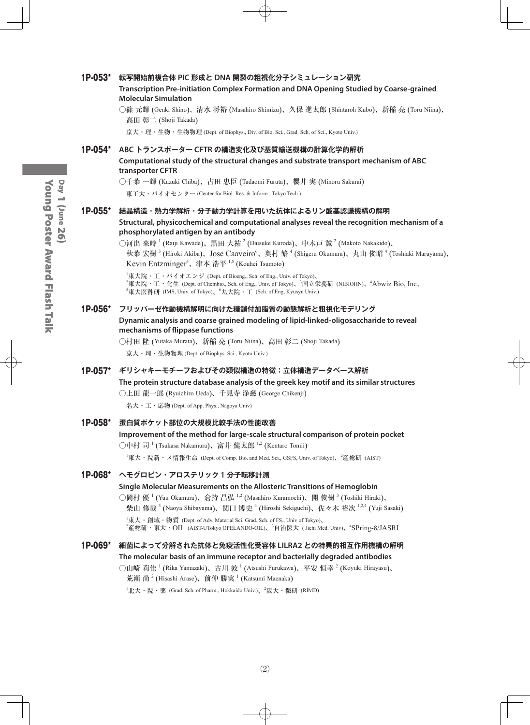#### 1P-053\* **転写開始前複合体 PIC 形成と DNA 開裂の粗視化分子シミュレーション研究**

**Transcription Pre-initiation Complex Formation and DNA Opening Studied by Coarse-grained Molecular Simulation**

○篠 元輝 (Genki Shino)、清水 将裕 (Masahiro Shimizu)、久保 進太郎 (Shintaroh Kubo)、新稲 亮 (Toru Niina)、 高田 彰二 (Shoji Takada)

京大・理・生物・生物物理 (Dept. of Biophys., Div. of Bio. Sci., Grad. Sch. of Sci., Kyoto Univ.)

#### 1P-054\* **ABC トランスポーター CFTR の構造変化及び基質輸送機構の計算化学的解析**

**Computational study of the structural changes and substrate transport mechanism of ABC transporter CFTR**

○千葉 一輝 (Kazuki Chiba)、古田 忠臣 (Tadaomi Furuta)、櫻井 実 (Minoru Sakurai)

東工大・バイオセンター (Center for Biol. Res. & Inform., Tokyo Tech.)

#### 1P-055\* **結晶構造・熱力学解析・分子動力学計算を用いた抗体によるリン酸基認識機構の解明 Structural, physicochemical and computational analyses reveal the recognition mechanism of a phosphorylated antigen by an antibody**

◯河出 来時  $^1$  (Raiji Kawade)、黒田 大祐  $^2$  (Daisuke Kuroda)、中木戸 誠  $^2$  (Makoto Nakakido)、 秋葉 宏樹<sup>3</sup> (Hiroki Akiba)、Jose Caaveiro<sup>6</sup>、奥村 繁<sup>4</sup> (Shigeru Okumura)、丸山 俊昭<sup>4</sup> (Toshiaki Maruyama)、 Kevin Entzminger<sup>4</sup>、津本 浩平 <sup>1,5</sup> (Kouhei Tsumoto)

1 東大院・工・バイオエンジ (Dept. of Bioeng., Sch. of Eng., Univ. of Tokyo)、  $^2$ 東大院・工・化生 (Dept. of Chembio., Sch. of Eng., Univ. of Tokyo)、 $^3$ 国立栄養研 (NIBIOHN)、 $^4$ Abwiz Bio, Inc、  $^5$ 東大医科研 (IMS, Univ. of Tokyo)、 $^6$ 九大院・工 (Sch. of Eng, Kyusyu Univ.)

#### 1P-056\* **フリッパーゼ作動機構解明に向けた糖鎖付加脂質の動態解析と粗視化モデリング**

**Dynamic analysis and coarse grained modeling of lipid-linked-oligosaccharide to reveal mechanisms of flippase functions**

○村田 隆 (Yutaka Murata)、新稲 亮 (Toru Niina)、高田 彰二 (Shoji Takada) 京大・理・生物物理 (Dept. of Biophys. Sci., Kyoto Univ.)

#### 1P-057\* **ギリシャキーモチーフおよびその類似構造の特徴:立体構造データベース解析**

**The protein structure database analysis of the greek key motif and its similar structures**

○上田 龍一郎 (Ryuichiro Ueda)、千見寺 浄慈 (George Chikenji)

名大・工・応物 (Dept. of App. Phys., Nagoya Univ)

#### 1P-058\* **蛋白質ポケット部位の大規模比較手法の性能改善**

#### **Improvement of the method for large-scale structural comparison of protein pocket** ○中村 司 <sup>1</sup> (Tsukasa Nakamura)、富井 健太郎 <sup>1,2</sup> (Kentaro Tomii)

 $^{\rm 1}$ 東大・院新・メ情報生命 (Dept. of Comp. Bio. and Med. Sci., GSFS, Univ. of Tokyo)、 $^{\rm 2}$ 産総研 (AIST)

#### 1P-068\* **ヘモグロビン・アロステリック 1 分子転移計測**

#### **Single Molecular Measurements on the Allosteric Transitions of Hemoglobin**

○岡村 優  $^1$  (Yuu Okamura)、倉持 昌弘  $^{1,2}$  (Masahiro Kuramochi)、開 俊樹  $^3$  (Toshiki Hiraki)、 柴山 修哉  $^3$  (Naoya Shibayama)、関口 博史  $^4$  (Hiroshi Sekiguchi)、佐々木 裕次  $^{1,2,4}$  (Yuji Sasaki)  $^1$ 東大・創域・物質 (Dept. of Adv. Material Sci. Grad. Sch. of FS., Univ of Tokyo)、  $^2$ 産総研・東大・OIL(AIST-UTokyo OPELANDO-OIL)、 $^3$ 自治医大(Jichi Med. Univ)、 $^4$ S $\rm{Pring}$ -8/JAS $\rm{R}$ I

#### 1P-069\* **細菌によって分解された抗体と免疫活性化受容体 LILRA2 との特異的相互作用機構の解明 The molecular basis of an immune receptor and bacterially degraded antibodies**

○山崎 莉佳 <sup>1</sup> (Rika Yamazaki)、古川 敦 <sup>1</sup> (Atsushi Furukawa)、平安 恒幸 <sup>2</sup> (Koyuki Hirayasu)、 荒瀬 尚<sup>2</sup> (Hisashi Arase)、前仲 勝実<sup>1</sup> (Katsumi Maenaka)

 $^{1}$ 北大・院・薬 (Grad. Sch. of Pharm., Hokkaido Univ.)、 $^{2}$ 阪大・微研 (RIMD)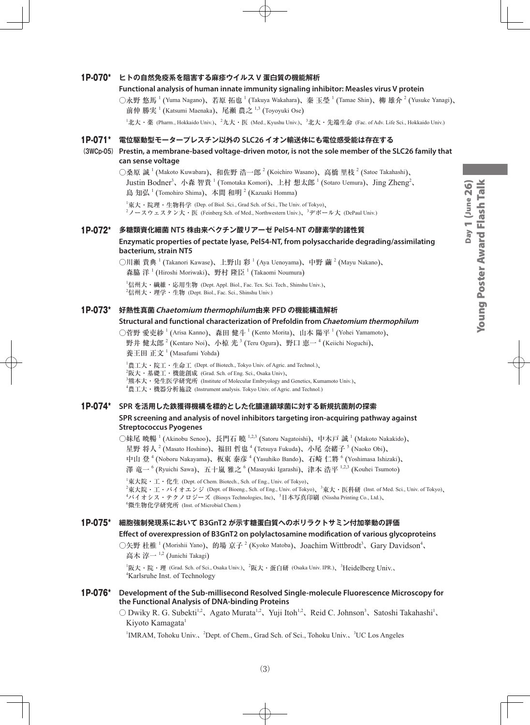# Day 1 (June 26)<br>Young Poster Award Flash Talk Young Poster Award Flash TalkDay 1 (June 26)

#### 1P-070\* **ヒトの自然免疫系を阻害する麻疹ウイルス V 蛋白質の機能解析**

#### **Functional analysis of human innate immunity signaling inhibitor: Measles virus V protein**

○永野 悠馬 <sup>1</sup> (Yuma Nagano)、若原 拓也 <sup>1</sup> (Takuya Wakahara)、秦 玉瑩 <sup>1</sup> (Tamae Shin)、柳 雄介 <sup>2</sup> (Yusuke Yanagi)、 前仲 勝実  $^1$  (Katsumi Maenaka)、尾瀬 農之  $^{1,3}$  (Toyoyuki Ose)

 $^1$ 北大・薬 (Pharm., Hokkaido Univ.)、 $^2$ 九大・医 (Med., Kyushu Univ.)、 $^3$ 北大・先端生命 (Fac. of Adv. Life Sci., Hokkaido Univ.)

#### 1P-071\* **電位駆動型モータープレスチン以外の SLC26 イオン輸送体にも電位感受能は存在する**

#### **(3WCp-05) Prestin, a membrane-based voltage-driven motor, is not the sole member of the SLC26 family that can sense voltage**

○桑原 誠  $^1$  (Makoto Kuwabara)、和佐野 浩一郎  $^2$  (Koichiro Wasano)、高橋 里枝  $^2$  (Satoe Takahashi)、 Justin Bodner<sup>3</sup>、小森 智貴 <sup>1</sup> (Tomotaka Komori)、上村 想太郎 <sup>1</sup> (Sotaro Uemura)、Jing Zheng<sup>2</sup>、 島知弘<sup>1</sup> (Tomohiro Shima)、本間和明<sup>2</sup> (Kazuaki Homma)

1 東大・院理・生物科学 (Dep. of Biol. Sci., Grad Sch. of Sci., The Univ. of Tokyo)、  $^2$ ノースウェスタン大・医 (Feinberg Sch. of Med., Northwestern Univ.)、 $^3$ デポール大 (DePaul Univ.)

#### 1P-072\* **多糖類資化細菌 NT5 株由来ペクチン酸リアーゼ Pel54-NT の酵素学的諸性質 Enzymatic properties of pectate lyase, Pel54-NT, from polysaccharide degrading/assimilating bacterium, strain NT5**

○川瀬 貴典 <sup>1</sup> (Takanori Kawase)、上野山 彩 <sup>1</sup> (Aya Uenoyama)、中野 繭 <sup>2</sup> (Mayu Nakano)、 森脇 洋  $^1$  (Hiroshi Moriwaki)、野村 隆臣  $^1$  (Takaomi Noumura)

1 信州大・繊維・応用生物 (Dept. Appl. Biol., Fac. Tex. Sci. Tech., Shinshu Univ.)、  $^2$ 信州大・理学・生物 (Dept. Biol., Fac. Sci., Shinshu Univ.)

#### 1P-073\* **好熱性真菌Chaetomium thermophilum由来 PFD の機能構造解析**

#### **Structural and functional characterization of Prefoldin from Chaetomium thermophilum**

○菅野 愛吏紗 <sup>1</sup> (Arisa Kanno)、森田 健斗 <sup>1</sup> (Kento Morita)、山本 陽平 <sup>1</sup> (Yohei Yamamoto)、 野井 健太郎  $^{2}$  (Kentaro Noi)、小椋 光  $^{3}$  (Teru Ogura)、野口 恵一  $^{4}$  (Keiichi Noguchi)、

養王田 正文<sup>1</sup> (Masafumi Yohda)

 $^{1}$ 農工大・院工・生命工 (Dept. of Biotech., Tokyo Univ. of Agric. and Technol.)、

 $^{2}$ 阪大・基礎工・機能創成 (Grad. Sch. of Eng. Sci., Osaka Univ)、

 ${}^{3}$ 熊本大・発生医学研究所 (Institute of Molecular Embryology and Genetics, Kumamoto Univ.)、

4 農工大・機器分析施設 (Instrument analysis. Tokyo Univ. of Agric. and Technol.)

# 1P-074\* **SPR を活用した鉄獲得機構を標的とした化膿連鎖球菌に対する新規抗菌剤の探索**

#### **SPR screening and analysis of novel inhibitors targeting iron-acquiring pathway against Streptococcus Pyogenes**

○妹尾 暁暢 <sup>1</sup> (Akinobu Senoo)、長門石 曉 <sup>1,2,3</sup> (Satoru Nagatoishi)、中木戸 誠 <sup>1</sup> (Makoto Nakakido)、 星野 将人  $^2$  (Masato Hoshino)、福田 哲也  $^4$  (Tetsuya Fukuda)、小尾 奈緒子  $^5$  (Naoko Obi)、 中山 登 <sup>4</sup> (Noboru Nakayama)、板東 泰彦 <sup>4</sup> (Yasuhiko Bando)、石崎 仁將 <sup>6</sup> (Yoshimasa Ishizaki)、

澤 竜一 <sup>6</sup> (Ryuichi Sawa)、五十嵐 雅之 <sup>6</sup> (Masayuki Igarashi)、津本 浩平 <sup>1,2,3</sup> (Kouhei Tsumoto)

 ${}^{1}\$ 東大院・工・化生 (Dept. of Chem. Biotech., Sch. of Eng., Univ. of Tokyo)、

 $^2$ 東大院・工・バイオエンジ (Dept. of Bioeng., Sch. of Eng., Univ. of Tokyo)、 $^3$ 東大・医科研 (Inst. of Med. Sci., Univ. of Tokyo)、 <sup>4</sup>バイオシス・テクノロジーズ (Biosys Technologies, Inc)、<sup>5</sup>日本写真印刷 (Nissha Printing Co., Ltd.)、 6 微生物化学研究所 (Inst. of Microbial Chem.)

#### 1P-075\* **細胞強制発現系において B3GnT2 が示す糖蛋白質へのポリラクトサミン付加挙動の評価**

#### **Effect of overexpression of B3GnT2 on polylactosamine modification of various glycoproteins**

○矢野 杜椎<sup>1</sup> (Morishii Yano)、的場 京子<sup>2</sup> (Kyoko Matoba)、Joachim Wittbrodt<sup>3</sup>、Gary Davidson<sup>4</sup>、 高木 淳一<sup>1,2</sup> (Junichi Takagi)

<sup>1</sup>阪大・院・理 (Grad. Sch. of Sci., Osaka Univ.)、<sup>2</sup>阪大・蛋白研 (Osaka Univ. IPR.)、<sup>3</sup>Heidelberg Univ.、 4 Karlsruhe Inst. of Technology

#### 1P-076\* **Development of the Sub-millisecond Resolved Single-molecule Fluorescence Microscopy for the Functional Analysis of DNA-binding Proteins**

 $\bigcirc$  Dwiky R. G. Subekti<sup>1,2</sup>, Agato Murata<sup>1,2</sup>, Yuji Itoh<sup>1,2</sup>, Reid C. Johnson<sup>3</sup>, Satoshi Takahashi<sup>1</sup>, Kiyoto Kamagata<sup>1</sup>

<sup>1</sup>IMRAM, Tohoku Univ.、<sup>2</sup>Dept. of Chem., Grad Sch. of Sci., Tohoku Univ.、<sup>3</sup>UC Los Angeles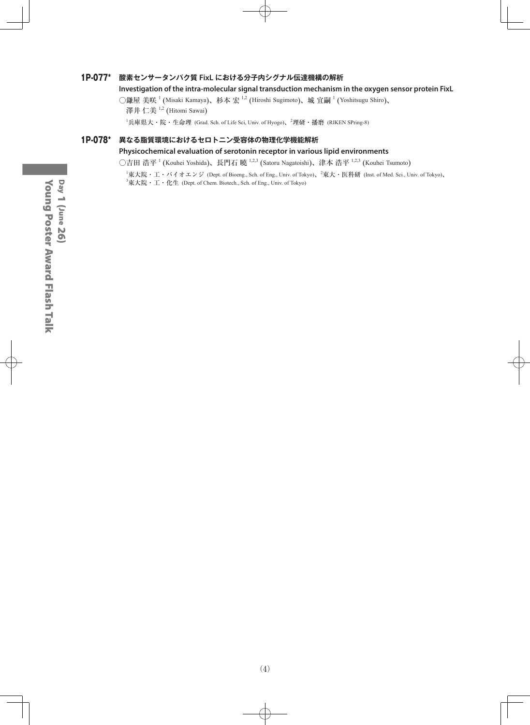#### 1P-077\* **酸素センサータンパク質 FixL における分子内シグナル伝達機構の解析**

#### **Investigation of the intra-molecular signal transduction mechanism in the oxygen sensor protein FixL**

○鎌屋 美咲 <sup>1</sup> (Misaki Kamaya)、杉本 宏 <sup>1,2</sup> (Hiroshi Sugimoto)、城 宜嗣 <sup>1</sup> (Yoshitsugu Shiro)、 澤井 仁美 <sup>1,2</sup> (Hitomi Sawai)

<sup>1</sup>兵庫県大・院・生命理 (Grad. Sch. of Life Sci, Univ. of Hyogo)、<sup>2</sup>理研・播磨 (RIKEN SPring-8)

#### 1P-078\* **異なる脂質環境におけるセロトニン受容体の物理化学機能解析**

#### **Physicochemical evaluation of serotonin receptor in various lipid environments**

○吉田 浩平 <sup>1</sup> (Kouhei Yoshida)、長門石 曉 <sup>1,2,3</sup> (Satoru Nagatoishi)、津本 浩平 <sup>1,2,3</sup> (Kouhei Tsumoto)

 $^1$ 東大院・エ・バイオエンジ (Dept. of Bioeng., Sch. of Eng., Univ. of Tokyo)、 $^2$ 東大・医科研 (Inst. of Med. Sci., Univ. of Tokyo)、  $^3$ 東大院・工・化生 (Dept. of Chem. Biotech., Sch. of Eng., Univ. of Tokyo)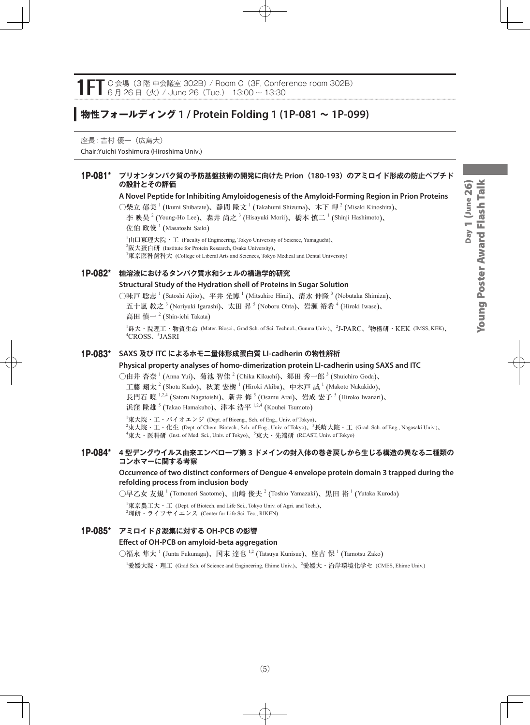# **物性フォールディング 1 / Protein Folding 1 (1P-081 ~ 1P-099)**

座長 : 吉村 優一(広島大) Chair:Yuichi Yoshimura (Hiroshima Univ.)

#### 1P-081\* **プリオンタンパク質の予防基盤技術の開発に向けた Prion(180-193)のアミロイド形成の防止ペプチド の設計とその評価**

**A Novel Peptide for Inhibiting Amyloidogenesis of the Amyloid-Forming Region in Prion Proteins** 

○柴立 郁美  $^1$  (Ikumi Shibatate)、静間 隆文  $^1$  (Takahumi Shizuma)、木下 岬  $^2$  (Misaki Kinoshita)、 李 映昊  $^2$  (Young-Ho Lee)、森井 尚之  $^3$  (Hisayuki Morii)、橋本 慎二  $^1$  (Shinji Hashimoto)、 佐伯 政俊  $^1$  (Masatoshi Saiki)

<sup>1</sup>山口東理大院・工 (Faculty of Engineering, Tokyo University of Science, Yamaguchi)、  $^{2}$ 阪大蛋白研 (Institute for Protein Research, Osaka University)、  $^3$ 東京医科歯科大 (College of Liberal Arts and Sciences, Tokyo Medical and Dental University)

#### 1P-082\* **糖溶液におけるタンパク質水和シェルの構造学的研究**

#### **Structural Study of the Hydration shell of Proteins in Sugar Solution**

○味戸 聡志  $^1$  (Satoshi Ajito)、平井 光博  $^1$  (Mitsuhiro Hirai)、清水 伸隆  $^3$  (Nobutaka Shimizu)、 五十嵐 教之  $^3$  (Noriyuki Igarashi)、太田 昇  $^5$  (Noboru Ohta)、岩瀬 裕希  $^4$  (Hiroki Iwase)、 高田 慎一<sup>2</sup> (Shin-ichi Takata)

<sup>1</sup>群大・院理工・物質生命 (Mater. Biosci., Grad Sch. of Sci. Technol., Gunma Univ.)、<sup>2</sup>J-PARC、<sup>3</sup>物構研・KEK (IMSS, KEK)、 4 CROSS、<sup>5</sup> JASRI

#### 1P-083\* **SAXS 及び ITC によるホモ二量体形成蛋白質 LI-cadherin の物性解析**

#### **Physical property analyses of homo-dimerization protein LI-cadherin using SAXS and ITC**

○由井 杏奈  $^1$  (Anna Yui)、菊池 智佳  $^2$  (Chika Kikuchi)、郷田 秀一郎  $^3$  (Shuichiro Goda)、 工藤 翔太  $^2$  (Shota Kudo)、秋葉 宏樹  $^1$  (Hiroki Akiba)、中木戸 誠  $^1$  (Makoto Nakakido)、 長門石 曉 <sup>1,2,4</sup> (Satoru Nagatoishi)、新井 修 <sup>5</sup> (Osamu Arai)、岩成 宏子 <sup>5</sup> (Hiroko Iwanari)、 浜窪 隆雄 <sup>5</sup> (Takao Hamakubo)、津本 浩平 <sup>1,2,4</sup> (Kouhei Tsumoto)

 $^{\rm 1}$ 東大院・工・バイオエンジ (Dept. of Bioeng., Sch. of Eng., Univ. of Tokyo)、  $^2$ 東大院・工・化生 (Dept. of Chem. Biotech., Sch. of Eng., Univ. of Tokyo)、 $^3$ 長崎大院・工 (Grad. Sch. of Eng., Nagasaki Univ.)、 4 東大・医科研 (Inst. of Med. Sci., Univ. of Tokyo)、<sup>5</sup> 東大・先端研 (RCAST, Univ. of Tokyo)

#### 1P-084\* **4 型デングウイルス由来エンベロープ第 3 ドメインの封入体の巻き戻しから生じる構造の異なる二種類の コンホマーに関する考察**

**Occurrence of two distinct conformers of Dengue 4 envelope protein domain 3 trapped during the refolding process from inclusion body**

 $\bigcirc$ 早乙女 友規  $^1$  (Tomonori Saotome)、山崎 俊夫  $^2$  (Toshio Yamazaki)、黒田 裕  $^1$  (Yutaka Kuroda)

 ${}^{1}\$ 来京農工大・工 (Dept. of Biotech. and Life Sci., Tokyo Univ. of Agri. and Tech.)、  $^{2}$ 理研・ライフサイエンス (Center for Life Sci. Tec., RIKEN)

#### 1P-085\* **アミロイドβ凝集に対する OH-PCB の影響**

#### **Effect of OH-PCB on amyloid-beta aggregation**

○福永 隼大  $^1$  (Junta Fukunaga)、国末 達也  $^{1,2}$  (Tatsuya Kunisue)、座古 保  $^1$  (Tamotsu Zako)

<sup>1</sup>愛媛大院・理工 (Grad Sch. of Science and Engineering, Ehime Univ.)、<sup>2</sup>愛媛大・沿岸環境化学セ (CMES, Ehime Univ.)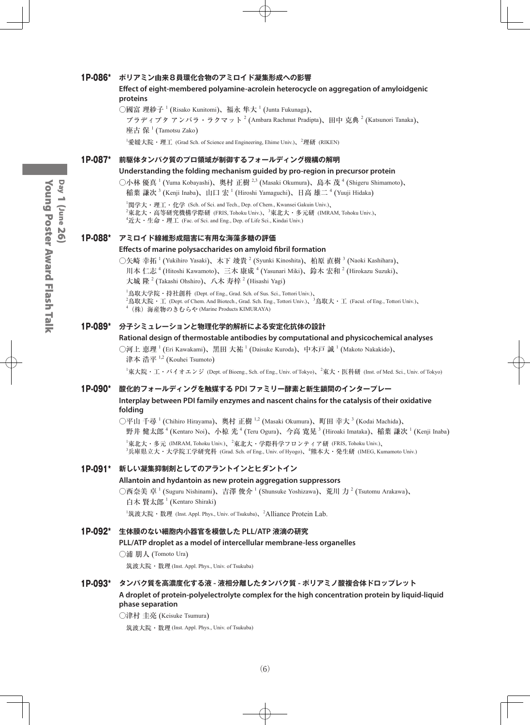#### 1P-086\* **ポリアミン由来8員環化合物のアミロイド凝集形成への影響**

#### **Effect of eight-membered polyamine-acrolein heterocycle on aggregation of amyloidgenic proteins**

○國富 理紗子  $^1$  (Risako Kunitomi)、福永 隼大  $^1$  (Junta Fukunaga)、

プラディプタ アンバラ・ラクマット  $^2$  (Ambara Rachmat Pradipta)、田中 克典  $^2$  (Katsunori Tanaka)、 座古 保  $^1$  (Tamotsu Zako)

<sup>1</sup>愛媛大院・理工 (Grad Sch. of Science and Engineering, Ehime Univ.)、<sup>2</sup>理研 (RIKEN)

#### 1P-087\* **前駆体タンパク質のプロ領域が制御するフォールディング機構の解明**

#### **Understanding the folding mechanism guided by pro-region in precursor protein**

○小林 優真 <sup>1</sup> (Yuma Kobayashi)、奥村 正樹 <sup>2,3</sup> (Masaki Okumura)、島本 茂 <sup>4</sup> (Shigeru Shimamoto)、 稲葉 謙次  $^3$  (Kenji Inaba)、山口 宏  $^1$  (Hiroshi Yamaguchi)、日高 雄二  $^4$  (Yuuji Hidaka)

 $^1$ 関学大・理工・化学 (Sch. of Sci. and Tech., Dep. of Chem., Kwansei Gakuin Univ.)、 <sup>2</sup>東北大・高等研究機構学際研 (FRIS, Tohoku Univ.)、<sup>3</sup>東北大・多元研 (IMRAM, Tohoku Univ.)、  ${}^4$ 近大・生命・理工 (Fac. of Sci. and Eng., Dep. of Life Sci., Kindai Univ.)

#### 1P-088\* **アミロイド線維形成阻害に有用な海藻多糖の評価**

#### **Effects of marine polysaccharides on amyloid fibril formation**

○矢崎 幸拓 <sup>1</sup> (Yukihiro Yasaki)、木下 竣貴 <sup>2</sup> (Syunki Kinoshita)、柏原 直樹 <sup>3</sup> (Naoki Kashihara)、 川本 仁志 <sup>4</sup> (Hitoshi Kawamoto)、三木 康成 <sup>4</sup> (Yasunari Miki)、鈴木 宏和 <sup>2</sup> (Hirokazu Suzuki)、 大城 隆  $^{2}$  (Takashi Ohshiro)、八木 寿梓  $^{2}$  (Hisashi Yagi)

 $^{\rm 1}$ 鳥取大学院・持社創科 (Dept. of Eng., Grad. Sch. of Sus. Sci., Tottori Univ.)、 <sup>2</sup>鳥取大院・工 (Dept. of Chem. And Biotech., Grad. Sch. Eng., Tottori Univ.)、<sup>3</sup>鳥取大・工 (Facul. of Eng., Tottori Univ.)、 4 (株)海産物のきむらや (Marine Products KIMURAYA)

#### 1P-089\* **分子シミュレーションと物理化学的解析による安定化抗体の設計**

#### **Rational design of thermostable antibodies by computational and physicochemical analyses**

◯河上 恵理  $^1$  (Eri Kawakami)、黒田 大祐  $^1$  (Daisuke Kuroda)、中木戸 誠  $^1$  (Makoto Nakakido)、 津本 浩平 <sup>1,2</sup> (Kouhei Tsumoto)

 $^1$ 東大院・工・バイオエンジ (Dept. of Bioeng., Sch. of Eng., Univ. of Tokyo)、 $^2$ 東大・医科研 (Inst. of Med. Sci., Univ. of Tokyo)

#### 1P-090\* **酸化的フォールディングを触媒する PDI ファミリー酵素と新生鎖間のインタープレー**

#### **Interplay between PDI family enzymes and nascent chains for the catalysis of their oxidative folding**

○平山 千尋 <sup>1</sup> (Chihiro Hirayama)、奥村 正樹 <sup>1,2</sup> (Masaki Okumura)、町田 幸大 <sup>3</sup> (Kodai Machida)、

野井 健太郎  $^4$  (Kentaro Noi)、小椋 光  $^4$  (Teru Ogura)、今高 寛晃  $^3$  (Hiroaki Imataka)、稲葉 謙次  $^1$  (Kenji Inaba)  $^{\rm I}$ 東北大・多元 (IMRAM, Tohoku Univ.)、 $^{\rm 2}$ 東北大・学際科学フロンティア研 (FRIS, Tohoku Univ.)、

3 兵庫県立大・大学院工学研究科 (Grad. Sch. of Eng., Univ. of Hyogo)、<sup>4</sup> 熊本大・発生研 (IMEG, Kumamoto Univ.)

#### 1P-091\* **新しい凝集抑制剤としてのアラントインとヒダントイン**

#### **Allantoin and hydantoin as new protein aggregation suppressors**

○西奈美 卓 <sup>1</sup> (Suguru Nishinami)、吉澤 俊介 <sup>1</sup> (Shunsuke Yoshizawa)、荒川 力 <sup>2</sup> (Tsutomu Arakawa)、 白木 賢太郎 <sup>1</sup> (Kentaro Shiraki)

<sup>1</sup>筑波大院・数理 (Inst. Appl. Phys., Univ. of Tsukuba)、<sup>2</sup>Alliance Protein Lab.

#### 1P-092\* **生体膜のない細胞内小器官を模倣した PLL/ATP 液滴の研究**

#### **PLL/ATP droplet as a model of intercellular membrane-less organelles**

#### ○浦 朋人 (Tomoto Ura)

筑波大院・数理 (Inst. Appl. Phys., Univ. of Tsukuba)

#### 1P-093\* **タンパク質を高濃度化する液 - 液相分離したタンパク質 - ポリアミノ酸複合体ドロップレット**

**A droplet of protein-polyelectrolyte complex for the high concentration protein by liquid-liquid phase separation**

○津村 圭亮 (Keisuke Tsumura)

筑波大院・数理 (Inst. Appl. Phys., Univ. of Tsukuba)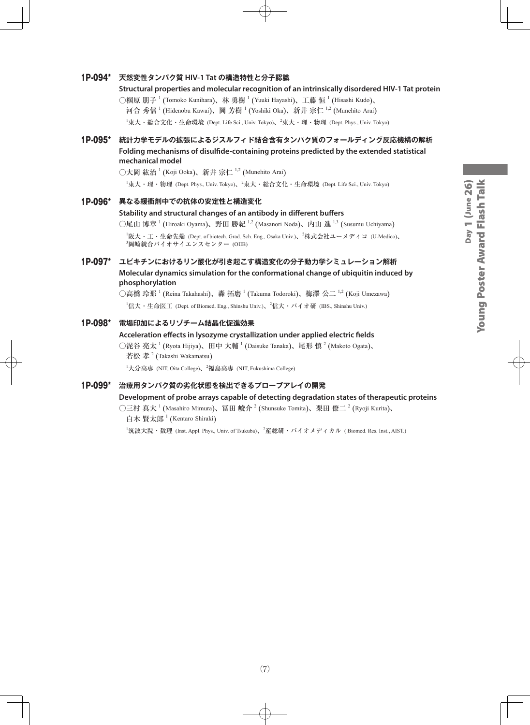# Young Poster Award Flash Talk Day 1 (June 26) Young Poster Award Flash TalkDay 1 (June 26)

#### 1P-094\* **天然変性タンパク質 HIV-1 Tat の構造特性と分子認識**

#### **Structural properties and molecular recognition of an intrinsically disordered HIV-1 Tat protein**

○椢原 朋子  $^1$  (Tomoko Kunihara)、林 勇樹  $^1$  (Yuuki Hayashi)、工藤 恒  $^1$  (Hisashi Kudo)、 河合 秀信 <sup>1</sup> (Hidenobu Kawai)、岡 芳樹 <sup>1</sup> (Yoshiki Oka)、新井 宗仁 <sup>1,2</sup> (Munehito Arai)

 $^{\rm 1}$ 東大・総合文化・生命環境 (Dept. Life Sci., Univ. Tokyo)、 $^{\rm 2}$ 東大・理・物理 (Dept. Phys., Univ. Tokyo)

#### 1P-095\* **統計力学モデルの拡張によるジスルフィド結合含有タンパク質のフォールディング反応機構の解析 Folding mechanisms of disulfide-containing proteins predicted by the extended statistical mechanical model**

○大岡 紘治  $^1$  (Koji Ooka)、新井 宗仁  $^{1,2}$  (Munehito Arai)

1 東大・理・物理 (Dept. Phys., Univ. Tokyo)、<sup>2</sup> 東大・総合文化・生命環境 (Dept. Life Sci., Univ. Tokyo)

#### 1P-096\* **異なる緩衝剤中での抗体の安定性と構造変化**

#### **Stability and structural changes of an antibody in different buffers**

○尾山 博章 <sup>1</sup> (Hiroaki Oyama)、野田 勝紀 <sup>1,2</sup> (Masanori Noda)、内山 進 <sup>1,3</sup> (Susumu Uchiyama)

1 阪大・工・生命先端 (Dept. of biotech. Grad. Sch. Eng., Osaka Univ.)、<sup>2</sup> 株式会社ユーメディコ (U-Medico)、 3 岡崎統合バイオサイエンスセンター (OIIB)

#### 1P-097\* **ユビキチンにおけるリン酸化が引き起こす構造変化の分子動力学シミュレーション解析 Molecular dynamics simulation for the conformational change of ubiquitin induced by phosphorylation**

○高橋 玲那  $^1$  (Reina Takahashi)、轟 拓磨  $^1$  (Takuma Todoroki)、梅澤 公二  $^{1,2}$  (Koji Umezawa)  $^1$ 信大・生命医工 (Dept. of Biomed. Eng., Shinshu Univ.)、 $^2$ 信大・バイオ研 (IBS., Shinshu Univ.)

#### 1P-098\* **電場印加によるリゾチーム結晶化促進効果**

#### **Acceleration effects in lysozyme crystallization under applied electric fields**

○泥谷 亮太  $^1$  (Ryota Hijiya)、田中 大輔  $^1$  (Daisuke Tanaka)、尾形 慎  $^2$  (Makoto Ogata)、 若松 孝  $^2$  (Takashi Wakamatsu)

<sup>1</sup>大分高専 (NIT, Oita College)、<sup>2</sup>福島高専 (NIT, Fukushima College)

#### 1P-099\* **治療用タンパク質の劣化状態を検出できるプローブアレイの開発**

#### **Development of probe arrays capable of detecting degradation states of therapeutic proteins**

○三村 真大 <sup>1</sup> (Masahiro Mimura)、冨田 峻介 <sup>2</sup> (Shunsuke Tomita)、栗田 僚二 <sup>2</sup> (Ryoji Kurita)、 白木 賢太郎 <sup>1</sup> (Kentaro Shiraki)

<sup>1</sup>筑波大院・数理 (Inst. Appl. Phys., Univ. of Tsukuba)、<sup>2</sup>産総研・バイオメディカル ( Biomed. Res. Inst., AIST.)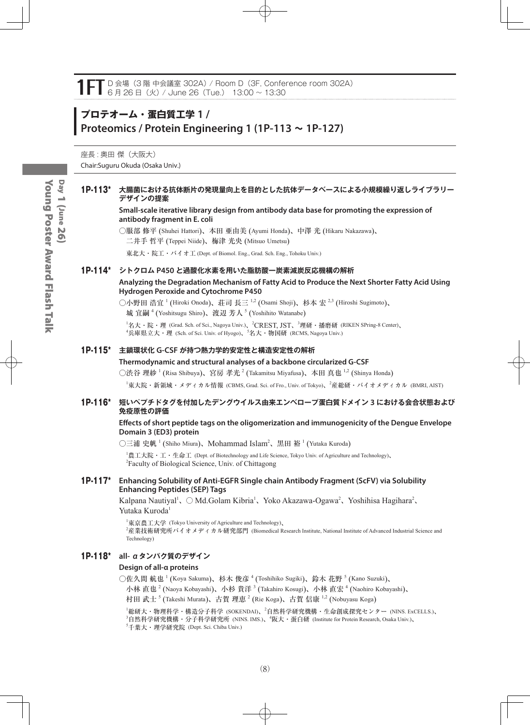# **プロテオーム・蛋白質工学 1 / Proteomics / Protein Engineering 1 (1P-113 ~ 1P-127)**

座長: 奥田傑 (大阪大) Chair:Suguru Okuda (Osaka Univ.)

#### 1P-113\* **大腸菌における抗体断片の発現量向上を目的とした抗体データベースによる小規模繰り返しライブラリー デザインの提案**

#### **Small-scale iterative library design from antibody data base for promoting the expression of antibody fragment in E. coli**

○服部 修平 (Shuhei Hattori)、本田 亜由美 (Ayumi Honda)、中澤 光 (Hikaru Nakazawa)、 二井手 哲平 (Teppei Niide)、梅津 光央 (Mitsuo Umetsu)

東北大・院工・バイオ工 (Dept. of Biomol. Eng., Grad. Sch. Eng., Tohoku Univ.)

#### 1P-114\* **シトクロム P450 と過酸化水素を用いた脂肪酸一炭素減炭反応機構の解析**

#### **Analyzing the Degradation Mechanism of Fatty Acid to Produce the Next Shorter Fatty Acid Using Hydrogen Peroxide and Cytochrome P450**

○小野田 浩宜 <sup>1</sup> (Hiroki Onoda)、荘司 長三 <sup>1,2</sup> (Osami Shoji)、杉本 宏 <sup>2,3</sup> (Hiroshi Sugimoto)、 城 宜嗣 <sup>4</sup> (Yoshitsugu Shiro)、渡辺 芳人 <sup>5</sup> (Yoshihito Watanabe)

 $^1$ 名大・院・理 (Grad. Sch. of Sci., Nagoya Univ.)、 $^2$ CREST, JST、 $^3$ 理研・播磨研 (RIKEN SPring-8 Center)、  ${}^4$ 兵庫県立大・理 (Sch. of Sci. Univ. of Hyogo)、 ${}^5$ 名大・物国研 (RCMS, Nagoya Univ.)

#### 1P-115\* **主鎖環状化 G-CSF が持つ熱力学的安定性と構造安定性の解析**

#### **Thermodynamic and structural analyses of a backbone circularized G-CSF**

○渋谷 理紗  $^1$  (Risa Shibuya)、宮房 孝光  $^2$  (Takamitsu Miyafusa)、本田 真也  $^{1,2}$  (Shinya Honda)

 $^1$ 東大院・新領域・メディカル情報 (CBMS, Grad. Sci. of Fro., Univ. of Tokyo)、 $^2$ 産総研・バイオメディカル (BMRI, AIST)

#### 1P-116\* **短いペプチドタグを付加したデングウイルス由来エンベロープ蛋白質ドメイン 3 における会合状態および 免疫原性の評価**

#### **Effects of short peptide tags on the oligomerization and immunogenicity of the Dengue Envelope Domain 3 (ED3) protein**

○三浦 史帆 <sup>1</sup> (Shiho Miura)、Mohammad Islam<sup>2</sup>、黒田 裕 <sup>1</sup> (Yutaka Kuroda)

1 農工大院・工・生命工 (Dept. of Biotechnology and Life Science, Tokyo Univ. of Agriculture and Technology)、 2 Faculty of Biological Science, Univ. of Chittagong

#### 1P-117\* **Enhancing Solubility of Anti-EGFR Single chain Antibody Fragment (ScFV) via Solubility Enhancing Peptides (SEP) Tags**

Kalpana Nautiyal<sup>1</sup>、 ○ Md.Golam Kibria<sup>1</sup>、Yoko Akazawa-Ogawa<sup>2</sup>、Yoshihisa Hagihara<sup>2</sup>、 Yutaka Kuroda<sup>1</sup>

1 東京農工大学 (Tokyo University of Agriculture and Technology)、 2 産業技術研究所バイオメディカル研究部門 (Biomedical Research Institute, National Institute of Advanced Industrial Science and Technology)

#### 1P-118\* **all- αタンパク質のデザイン**

#### **Design of all-α proteins**

○佐久間 航也 <sup>1</sup> (Koya Sakuma)、杉木 俊彦 <sup>4</sup> (Toshihiko Sugiki)、鈴木 花野 <sup>5</sup> (Kano Suzuki)、

小林 直也  $^2$  (Naoya Kobayashi)、小杉 貴洋  $^3$  (Takahiro Kosugi)、小林 直宏  $^4$  (Naohiro Kobayashi)、

村田 武士 <sup>5</sup> (Takeshi Murata)、古賀 理恵 <sup>2</sup> (Rie Koga)、古賀 信康 <sup>1,2</sup> (Nobuyasu Koga)

<sup>'</sup>総研大・物理科学・構造分子科学 (SOKENDAI)、<sup>2</sup>自然科学研究機構・生命創成探究センター (NINS. ExCELLS.)、 3 自然科学研究機構・分子科学研究所 (NINS. IMS.)、<sup>4</sup> 阪大・蛋白研 (Institute for Protein Research, Osaka Univ.)、 5 千葉大・理学研究院 (Dept. Sci. Chiba Univ.)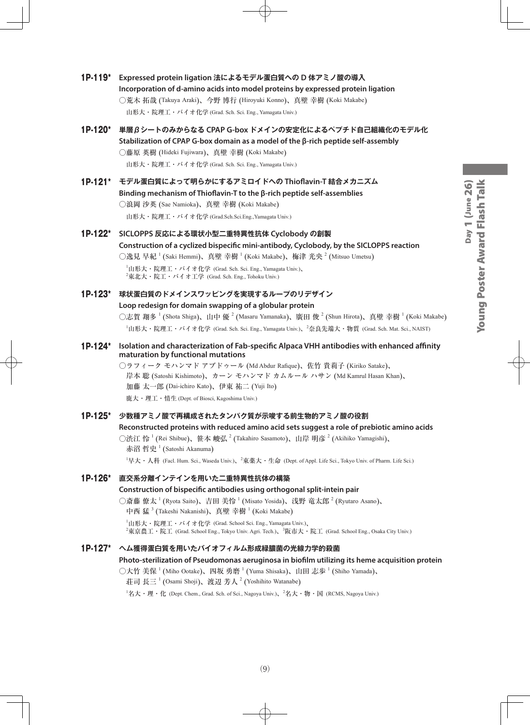- 1P-119\* **Expressed protein ligation 法によるモデル蛋白質への D 体アミノ酸の導入 Incorporation of d-amino acids into model proteins by expressed protein ligation** ○荒木 拓哉 (Takuya Araki)、今野 博行 (Hiroyuki Konno)、真壁 幸樹 (Koki Makabe) 山形大・院理工・バイオ化学 (Grad. Sch. Sci. Eng., Yamagata Univ.)
- 1P-120\* **単層βシートのみからなる CPAP G-box ドメインの安定化によるペプチド自己組織化のモデル化 Stabilization of CPAP G-box domain as a model of the β-rich peptide self-assembly** ○藤原 英樹 (Hideki Fujiwara)、真壁 幸樹 (Koki Makabe)

山形大・院理工・バイオ化学 (Grad. Sch. Sci. Eng., Yamagata Univ.)

- 1P-121\* **モデル蛋白質によって明らかにするアミロイドへの Thioflavin-T 結合メカニズム Binding mechanism of Thioflavin-T to the β-rich peptide self-assemblies** ○浪岡 沙英 (Sae Namioka)、真壁 幸樹 (Koki Makabe) 山形大・院理工・バイオ化学 (Grad.Sch.Sci.Eng.,Yamagata Univ.)
- 1P-122\* **SICLOPPS 反応による環状小型二重特異性抗体 Cyclobody の創製 Construction of a cyclized bispecific mini-antibody, Cyclobody, by the SICLOPPS reaction** ○逸見 早紀  $^1$  (Saki Hemmi)、真壁 幸樹  $^1$  (Koki Makabe)、梅津 光央  $^2$  (Mitsuo Umetsu)  $^{\rm 1}$ 山形大・院理工・バイオ化学 (Grad. Sch. Sci. Eng., Yamagata Univ.)、

 $^{2}$ 東北大・院工・バイオ工学 (Grad. Sch. Eng., Tohoku Univ.)

- 1P-123\* **球状蛋白質のドメインスワッピングを実現するループのリデザイン Loop redesign for domain swapping of a globular protein** ○志賀 翔多  $^1$  (Shota Shiga)、山中 優  $^2$  (Masaru Yamanaka)、廣田 俊  $^2$  (Shun Hirota)、真壁 幸樹  $^1$  (Koki Makabe) 1 山形大・院理工・バイオ化学 (Grad. Sch. Sci. Eng., Yamagata Univ.)、<sup>2</sup> 奈良先端大・物質 (Grad. Sch. Mat. Sci., NAIST)
- 1P-124\* **Isolation and characterization of Fab-specific Alpaca VHH antibodies with enhanced affinity maturation by functional mutations**

○ラフィーク モハンマド アブドゥール (Md Abdur Rafique)、佐竹 貴莉子 (Kiriko Satake)、 岸本 聡 (Satoshi Kishimoto)、カーン モハンマド カムルール ハサン (Md Kamrul Hasan Khan)、 加藤 太一郎 (Dai-ichiro Kato)、伊東 祐二 (Yuji Ito) 鹿大・理工・情生 (Dept. of Biosci, Kagoshima Univ.)

#### 1P-125\* **少数種アミノ酸で再構成されたタンパク質が示唆する前生物的アミノ酸の役割 Reconstructed proteins with reduced amino acid sets suggest a role of prebiotic amino acids** ○渋江 怜 <sup>1</sup> (Rei Shibue)、笹本 峻弘 <sup>2</sup> (Takahiro Sasamoto)、山岸 明彦 <sup>2</sup> (Akihiko Yamagishi)、 赤沼 哲史  $^1$  (Satoshi Akanuma)

 $^1$ 早大・人科 (Facl. Hum. Sci., Waseda Univ.)、 $^2$ 東薬大・生命 (Dept. of Appl. Life Sci., Tokyo Univ. of Pharm. Life Sci.)

#### 1P-126\* **直交系分離インテインを用いた二重特異性抗体の構築**

#### **Construction of bispecific antibodies using orthogonal split-intein pair** ○斎藤 僚太  $^1$  (Ryota Saito)、吉田 美怜  $^1$  (Misato Yosida)、浅野 竜太郎  $^2$  (Ryutaro Asano)、 中西 猛  $^3$  (Takeshi Nakanishi)、真壁 幸樹  $^1$  (Koki Makabe)  $^{\rm 1}$ 山形大・院理工・バイオ化学 (Grad. School Sci. Eng., Yamagata Univ.)、  $^2$ 東亰農工・院工 (Grad. School Eng., Tokyo Univ. Agri. Tech.)、 $^3$ 阪市大・院工 (Grad. School Eng., Osaka City Univ.)

#### 1P-127\* **ヘム獲得蛋白質を用いたバイオフィルム形成緑膿菌の光線力学的殺菌**

**Photo-sterilization of Pseudomonas aeruginosa in biofilm utilizing its heme acquisition protein**

○大竹 美保  $^1$  (Miho Ootake)、四坂 勇磨  $^1$  (Yuma Shisaka)、山田 志歩  $^1$  (Shiho Yamada)、

荘司 長三  $^1$  (Osami Shoji)、渡辺 芳人  $^2$  (Yoshihito Watanabe)

 $^1$ 名大・理・化 (Dept. Chem., Grad. Sch. of Sci., Nagoya Univ.)、 $^2$ 名大・物・国 (RCMS, Nagoya Univ.)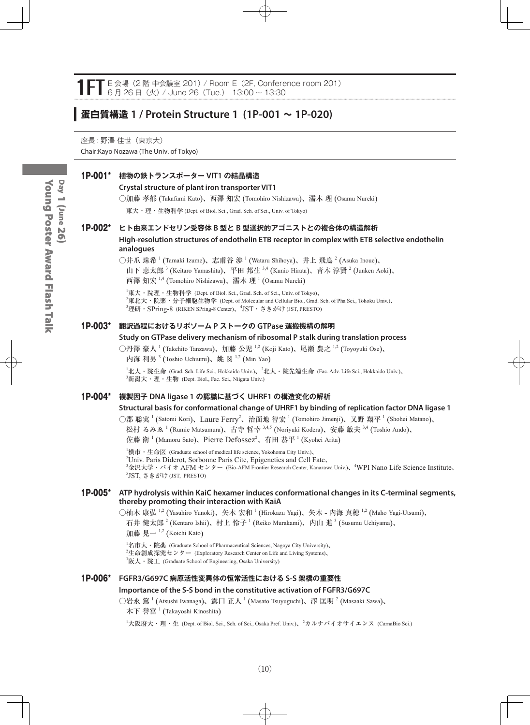#### E 会場 (2 階 中会議室 201) / Room E (2F, Conference room 201) 6 月 26 日(火)/ June 26(Tue.) 13:00 ~ 13:30

### **蛋白質構造 1 / Protein Structure 1 (1P-001 ~ 1P-020)**

座長 : 野澤 佳世(東京大) Chair:Kayo Nozawa (The Univ. of Tokyo)

#### 1P-001\* **植物の鉄トランスポーター VIT1 の結晶構造**

#### **Crystal structure of plant iron transporter VIT1**

○加藤 孝郁 (Takafumi Kato)、西澤 知宏 (Tomohiro Nishizawa)、濡木 理 (Osamu Nureki)

東大・理・生物科学 (Dept. of Biol. Sci., Grad. Sch. of Sci., Univ. of Tokyo)

#### 1P-002\* **ヒト由来エンドセリン受容体 B 型と B 型選択的アゴニストとの複合体の構造解析**

**High-resolution structures of endothelin ETB receptor in complex with ETB selective endothelin analogues**

○井爪 珠希  $^1$  (Tamaki Izume)、志甫谷 渉  $^1$  (Wataru Shihoya)、井上 飛鳥  $^2$  (Asuka Inoue)、

山下 恵太郎<sup>3</sup> (Keitaro Yamashita)、平田 邦生 <sup>3,4</sup> (Kunio Hirata)、青木 淳賢 <sup>2</sup> (Junken Aoki)、

西澤 知宏 1,4 (Tomohiro Nishizawa)、濡木 理 1 (Osamu Nureki)

1 東大・院理・生物科学 (Dept. of Biol. Sci., Grad. Sch. of Sci., Univ. of Tokyo)、 2 東北大・院薬・分子細胞生物学 (Dept. of Molecular and Cellular Bio., Grad. Sch. of Pha Sci., Tohoku Univ.)、  $^3$ 理研・S $\rm{Pring{\text -}8}$  (RIKEN S $\rm{Pring{\text -}8}$  Center)、 $^4\rm{JST}\cdot$  さきがけ (JST, PRESTO)

#### 1P-003\* **翻訳過程におけるリボソーム P ストークの GTPase 運搬機構の解明**

#### **Study on GTPase delivery mechanism of ribosomal P stalk during translation process**

○丹澤 豪人 <sup>1</sup> (Takehito Tanzawa)、加藤 公児 <sup>1,2</sup> (Koji Kato)、尾瀬 農之 <sup>1,2</sup> (Toyoyuki Ose)、 内海 利男<sup>3</sup> (Toshio Uchiumi)、姚 閔 <sup>1,2</sup> (Min Yao)

 $^1$ 北大・院生命 (Grad. Sch. Life Sci., Hokkaido Univ.)、 $^2$ 北大・院先端生命 (Fac. Adv. Life Sci., Hokkaido Univ.)、  $^3$ 新潟大・理・生物 (Dept. Biol., Fac. Sci., Niigata Univ.)

#### 1P-004\* **複製因子 DNA ligase 1 の認識に基づく UHRF1 の構造変化の解析**

#### **Structural basis for conformational change of UHRF1 by binding of replication factor DNA ligase 1**

○郡 聡実<sup>1</sup> (Satomi Kori)、Laure Ferry<sup>2</sup>、治面地 智宏<sup>1</sup> (Tomohiro Jimenji)、又野 翔平<sup>1</sup> (Shohei Matano)、 松村 るみゑ <sup>1</sup> (Rumie Matsumura)、古寺 哲幸 <sup>3,4,5</sup> (Noriyuki Kodera)、安藤 敏夫 <sup>3,4</sup> (Toshio Ando)、

佐藤 衛 <sup>1</sup> (Mamoru Sato)、Pierre Defossez<sup>2</sup>、有田 恭平 <sup>1</sup> (Kyohei Arita)

 ${}^{1}$ 横市・生命医 (Graduate school of medical life science, Yokohoma City Univ.)、 2 Univ. Paris Diderot, Sorbonne Paris Cite, Epigenetics and Cell Fate、 <sup>3</sup>金沢大学・バイオ AFM センター (Bio-AFM Frontier Research Center, Kanazawa Univ.)、<sup>4</sup>WPI Nano Life Science Institute、 5 JST, さきがけ (JST, PRESTO)

#### 1P-005\* **ATP hydrolysis within KaiC hexamer induces conformational changes in its C-terminal segments, thereby promoting their interaction with KaiA**

○柚木 康弘 <sup>1,2</sup> (Yasuhiro Yunoki)、矢木 宏和 <sup>1</sup> (Hirokazu Yagi)、矢木 - 内海 真穂 <sup>1,2</sup> (Maho Yagi-Utsumi)、 石井 健太郎  $^2$  (Kentaro Ishii)、村上 怜子  $^1$  (Reiko Murakami)、内山 進  $^3$  (Susumu Uchiyama)、

加藤 晃一  $^{1,2}$  (Koichi Kato)

 ${}^{1}$ 名市大・院薬 (Graduate School of Pharmaceutical Sciences, Nagoya City University)、 <sup>2</sup>生命創成探究センター (Exploratory Research Center on Life and Living Systems)、  ${}^{3}$ 阪大・院工 (Graduate School of Engineering, Osaka University)

#### 1P-006\* **FGFR3/G697C 病原活性変異体の恒常活性における S-S 架橋の重要性 Importance of the S-S bond in the constitutive activation of FGFR3/G697C**

○岩永 篤  $^1$  (Atsushi Iwanaga)、露口 正人  $^1$  (Masato Tsuyuguchi)、澤 匡明  $^2$  (Masaaki Sawa)、 木下 誉富<sup>1</sup> (Takayoshi Kinoshita)

<sup>1</sup>大阪府大・理・生 (Dept. of Biol. Sci., Sch. of Sci., Osaka Pref. Univ.)、<sup>2</sup>カルナバイオサイエンス (CarnaBio Sci.)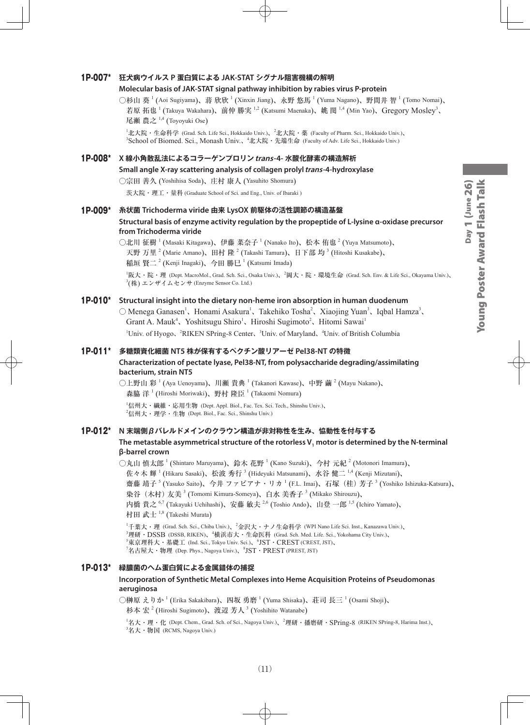#### 1P-007\* **狂犬病ウイルス P 蛋白質による JAK-STAT シグナル阻害機構の解明**

#### **Molecular basis of JAK-STAT signal pathway inhibition by rabies virus P-protein**

○杉山 葵 <sup>1</sup> (Aoi Sugiyama)、蒋 欣欣 <sup>1</sup> (Xinxin Jiang)、永野 悠馬 <sup>1</sup> (Yuma Nagano)、野間井 智 <sup>1</sup> (Tomo Nomai)、 若原 拓也<sup>1</sup> (Takuya Wakahara)、前仲 勝実 <sup>1,2</sup> (Katsumi Maenaka)、姚 閔 <sup>1,4</sup> (Min Yao)、Gregory Mosley<sup>3</sup>、 尾瀬 農之 <sup>1,4</sup> (Toyoyuki Ose)

<sup>1</sup>北大院・生命科学 (Grad. Sch. Life Sci., Hokkaido Univ.)、<sup>2</sup>北大院・薬 (Faculty of Pharm. Sci., Hokkaido Univ.)、 <sup>3</sup>School of Biomed. Sci., Monash Univ.、<sup>4</sup>北大院 · 先端生命 (Faculty of Adv. Life Sci., Hokkaido Univ.)

#### 1P-008\* **X 線小角散乱法によるコラーゲンプロリンtrans-4- 水酸化酵素の構造解析**

**Small angle X-ray scattering analysis of collagen prolyl trans-4-hydroxylase**

○宗田 善久 (Yoshihisa Soda)、庄村 康人 (Yasuhito Shomura)

茨大院・理工・量科 (Graduate School of Sci. and Eng., Univ. of Ibaraki )

#### 1P-009\* **糸状菌 Trichoderma viride 由来 LysOX 前駆体の活性調節の構造基盤 Structural basis of enzyme activity regulation by the propeptide of L-lysine α-oxidase precursor from Trichoderma viride**

○北川 征樹 <sup>1</sup> (Masaki Kitagawa)、伊藤 菜奈子 <sup>1</sup> (Nanako Ito)、松本 侑也 <sup>2</sup> (Yuya Matsumoto)、 天野 万里  $^2$  (Marie Amano)、田村 隆  $^2$  (Takashi Tamura)、日下部 均  $^3$  (Hitoshi Kusakabe)、 稲垣 賢二  $^2$  (Kenji Inagaki)、今田 勝巳  $^1$  (Katsumi Imada) 1 阪大・院・理 (Dept. MacroMol., Grad. Sch. Sci., Osaka Univ.)、<sup>2</sup> 岡大・院・環境生命 (Grad. Sch. Env. & Life Sci., Okayama Univ.)、

 $\mathbb{P}^3(\#)$  エンザイムセンサ (Enzyme Sensor Co. Ltd.)

#### 1P-010\* **Structural insight into the dietary non-heme iron absorption in human duodenum**

 $\bigcirc$  Menega Ganasen<sup>1</sup>, Honami Asakura<sup>1</sup>, Takehiko Tosha<sup>2</sup>, Xiaojing Yuan<sup>3</sup>, Iqbal Hamza<sup>3</sup>, Grant A. Mauk<sup>4</sup>, Yoshitsugu Shiro<sup>1</sup>, Hiroshi Sugimoto<sup>2</sup>, Hitomi Sawai<sup>1</sup> <sup>1</sup>Univ. of Hyogo、<sup>2</sup>RIKEN SPring-8 Center、<sup>3</sup>Univ. of Maryland、<sup>4</sup>Univ. of British Columbia

#### 1P-011\* **多糖類資化細菌 NT5 株が保有するペクチン酸リアーゼ Pel38-NT の特徴 Characterization of pectate lyase, Pel38-NT, from polysaccharide degrading/assimilating bacterium, strain NT5**

○上野山 彩  $^1$  (Aya Uenoyama)、川瀬 貴典  $^1$  (Takanori Kawase)、中野 繭  $^2$  (Mayu Nakano)、 森脇 洋<sup>1</sup> (Hiroshi Moriwaki)、野村 隆臣<sup>1</sup> (Takaomi Nomura)

1 信州大・繊維・応用生物 (Dept. Appl. Biol., Fac. Tex. Sci. Tech., Shinshu Univ.)、  $^2$ 信州大・理学・生物 (Dept. Biol., Fac. Sci., Shinshu Univ.)

#### 1P-012\* **N 末端側βバレルドメインのクラウン構造が非対称性を生み、恊動性を付与する**

#### The metastable asymmetrical structure of the rotorless V<sub>1</sub> motor is determined by the N-terminal **β-barrel crown**

○丸山 慎太郎  $^1$  (Shintaro Maruyama)、鈴木 花野  $^1$  (Kano Suzuki)、今村 元紀  $^2$  (Motonori Imamura)、 佐々木 輝 <sup>1</sup> (Hikaru Sasaki)、松波 秀行 <sup>3</sup> (Hideyuki Matsunami)、水谷 健二 1,4 (Kenji Mizutani)、

齋藤 靖子 <sup>5</sup> (Yasuko Saito)、今井 ファビアナ・リカ <sup>1</sup> (F.L. Imai)、石塚(桂)芳子 <sup>3</sup> (Yoshiko Ishizuka-Katsura)、 染谷(木村)友美 <sup>3</sup> (Tomomi Kimura-Someya)、白水 美香子 <sup>3</sup> (Mikako Shirouzu)、

内橋 貴之 <sup>6,7</sup> (Takayuki Uchihashi)、安藤 敏夫 <sup>2,6</sup> (Toshio Ando)、山登 一郎 <sup>1,5</sup> (Ichiro Yamato)、 村田 武士  $^{1,8}$  (Takeshi Murata)

1 千葉大・理 (Grad. Sch. Sci., Chiba Univ.)、<sup>2</sup> 金沢大・ナノ生命科学 (WPI Nano Life Sci. Inst., Kanazawa Univ.)、  $^3$ 理研・ $\mathrm{DSSB}$  (DSSB, RIKEN)、 $^4$ 横浜市大・生命医科 (Grad. Sch. Med. Life. Sci., Yokohama City Univ.)、 5 東京理科大・基礎工 (Ind. Sci., Tokyo Univ. Sci.)、<sup>6</sup> JST・CREST (CREST, JST)、  $^7$ 名古屋大・物理 (Dep. Phys., Nagoya Univ.)、 $^8{\rm JST}\cdot{\rm PREST}$  (PREST, JST)

#### 1P-013\* **緑膿菌のヘム蛋白質による金属錯体の捕捉**

#### **Incorporation of Synthetic Metal Complexes into Heme Acquisition Proteins of Pseudomonas aeruginosa**

 $\bigcirc$ 榊原 えりか  $^1$  (Erika Sakakibara)、四坂 勇磨  $^1$  (Yuma Shisaka)、荘司 長三  $^1$  (Osami Shoji)、 杉本 宏  $^{2}$  (Hiroshi Sugimoto)、渡辺 芳人  $^{3}$  (Yoshihito Watanabe)

1 名大・理・化 (Dept. Chem., Grad. Sch. of Sci., Nagoya Univ.)、<sup>2</sup> 理研・播磨研・SPring-8 (RIKEN SPring-8, Harima Inst.)、 3 名大・物国 (RCMS, Nagoya Univ.)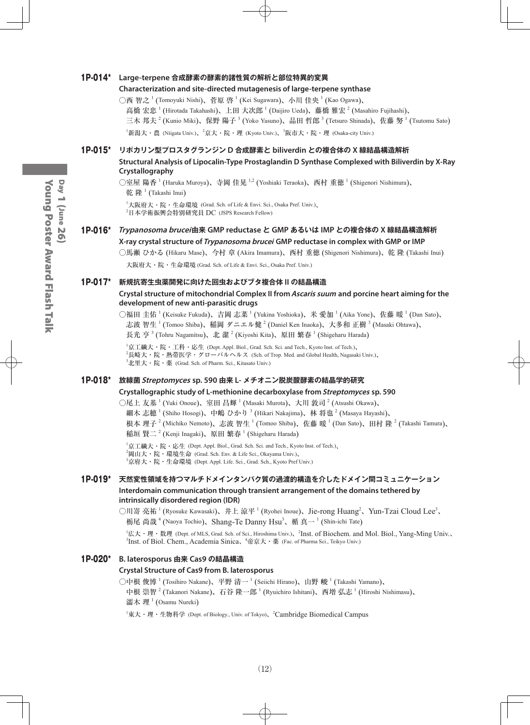#### 1P-014\* **Large-terpene 合成酵素の酵素的諸性質の解析と部位特異的変異**

#### **Characterization and site-directed mutagenesis of large-terpene synthase**

○西 智之 <sup>1</sup> (Tomoyuki Nishi)、菅原 啓 <sup>1</sup> (Kei Sugawara)、小川 佳央 <sup>1</sup> (Kao Ogawa)、 高橋 宏忠  $^1$  (Hirotada Takahashi)、上田 大次郎  $^1$  (Daijiro Ueda)、藤橋 雅宏  $^2$  (Masahiro Fujihashi)、 三木 邦夫  $^2$  (Kunio Miki)、保野 陽子  $^3$  (Yoko Yasuno)、品田 哲郎  $^3$  (Tetsuro Shinada)、佐藤 努  $^1$  (Tsutomu Sato) <sup>1</sup>新潟大・農 (Niigata Univ.)、<sup>2</sup>京大・院・理 (Kyoto Univ.)、<sup>3</sup>阪市大・院・理 (Osaka-city Univ.)

#### 1P-015\* **リポカリン型プロスタグランジン D 合成酵素と biliverdin との複合体の X 線結晶構造解析 Structural Analysis of Lipocalin-Type Prostaglandin D Synthase Complexed with Biliverdin by X-Ray Crystallography**

○室屋 陽香 <sup>1</sup> (Haruka Muroya)、寺岡 佳晃 <sup>1,2</sup> (Yoshiaki Teraoka)、西村 重徳 <sup>1</sup> (Shigenori Nishimura)、 乾 隆  $^1$  (Takashi Inui)

1 大阪府大・院・生命環境 (Grad. Sch. of Life & Envi. Sci., Osaka Pref. Univ.)、 2 日本学術振興会特別研究員 DC (JSPS Research Fellow)

#### 1P-016\* **Trypanosoma brucei由来 GMP reductase と GMP あるいは IMP との複合体の X 線結晶構造解析 X-ray crystal structure of Trypanosoma brucei GMP reductase in complex with GMP or IMP**

○馬瀬 ひかる (Hikaru Mase)、今村 章 (Akira Imamura)、西村 重徳 (Shigenori Nishimura)、乾 隆 (Takashi Inui) 大阪府大・院・生命環境 (Grad. Sch. of Life & Envi. Sci., Osaka Pref. Univ.)

#### 1P-017\* **新規抗寄生虫薬開発に向けた回虫およびブタ複合体 II の結晶構造**

#### **Crystal structure of mitochondrial Complex II from Ascaris suum and porcine heart aiming for the development of new anti-parasitic drugs**

○福田 圭佑  $^1$  (Keisuke Fukuda)、吉岡 志菜  $^1$  (Yukina Yoshioka)、米 愛加  $^1$  (Aika Yone)、佐藤 暖  $^1$  (Dan Sato)、 志波 智生  $^1$  (Tomoo Shiba)、稲岡 ダニエル健  $^2$  (Daniel Ken Inaoka)、大多和 正樹  $^3$  (Masaki Ohtawa)、

長光 亨  $^3$  (Tohru Nagamitsu)、北 潔  $^2$  (Kiyoshi Kita)、原田 繁春  $^1$  (Shigeharu Harada)

 $^1$ 京工繊大・院・工科・応生 (Dept. Appl. Biol., Grad. Sch. Sci. and Tech., Kyoto Inst. of Tech.)、  $^2$ 長崎大・院・熱帯医学・グローバルヘルス (Sch. of Trop. Med. and Global Health, Nagasaki Univ.)、  ${}^{3}$ 北里大・院・薬 (Grad. Sch. of Pharm. Sci., Kitasato Univ.)

#### 1P-018\* **放線菌Streptomyces sp. 590 由来 L- メチオニン脱炭酸酵素の結晶学的研究**

#### **Crystallographic study of L-methionine decarboxylase from Streptomyces sp. 590**

○尾上 友基  $^1$  (Yuki Onoue)、室田 昌輝  $^1$  (Masaki Murota)、大川 敦司  $^2$  (Atsushi Okawa)、

細木 志穂  $^1$  (Shiho Hosogi)、中嶋 ひかり  $^3$  (Hikari Nakajima)、林 将也  $^2$  (Masaya Hayashi)、

根本 理子  $^2$  (Michiko Nemoto)、志波 智生 <sup>1</sup> (Tomoo Shiba)、佐藤 暖 <sup>1</sup> (Dan Sato)、田村 隆 <sup>2</sup> (Takashi Tamura)、 稲垣 賢二  $^2$  (Kenji Inagaki)、原田 繁春  $^1$  (Shigeharu Harada)

 ${}^{1}\n$ 京工繊大・院・応生 (Dept. Appl. Biol., Grad. Sch. Sci. and Tech., Kyoto Inst. of Tech.)、  $^2$ 岡山大・院・環境生命 (Grad. Sch. Env. & Life Sci., Okayama Univ.)、 3 京府大・院・生命環境 (Dept. Appl. Life. Sci., Grad. Sch., Kyoto Pref Univ.)

#### 1P-019\* **天然変性領域を持つマルチドメインタンパク質の過渡的構造を介したドメイン間コミュニケーション Interdomain communication through transient arrangement of the domains tethered by intrinsically disordered region (IDR)**

○川嵜 亮祐<sup>1</sup> (Ryosuke Kawasaki)、井上 涼平<sup>1</sup> (Ryohei Inoue)、Jie-rong Huang<sup>2</sup>、Yun-Tzai Cloud Lee<sup>3</sup>、 栃尾 尚哉  $^4$  (Naoya Tochio)、Shang-Te Danny Hsu $^3$ 、楯 真一  $^1$  (Shin-ichi Tate)

<sup>1</sup>広大・理・数理 (Dept. of MLS, Grad. Sch. of Sci., Hiroshima Univ.)、<sup>2</sup>Inst. of Biochem. and Mol. Biol., Yang-Ming Univ.、 <sup>3</sup>Inst. of Biol. Chem., Academia Sinica、<sup>4</sup>帝京大 · 薬 (Fac. of Pharma Sci., Teikyo Univ.)

#### 1P-020\* **B. laterosporus 由来 Cas9 の結晶構造**

#### **Crystal Structure of Cas9 from B. laterosporus**

○中根 俊博  $^1$  (Tosihiro Nakane)、平野 清一  $^1$  (Seiichi Hirano)、山野 峻  $^1$  (Takashi Yamano)、 中根 崇智  $^2$  (Takanori Nakane)、石谷 隆一郎  $^1$  (Ryuichiro Ishitani)、西増 弘志  $^1$  (Hiroshi Nishimasu)、 濡木 理 <sup>1</sup> (Osamu Nureki)

 ${}^{1}\$ 東大・理・生物科学 (Dept. of Biology., Univ. of Tokyo)、 ${}^{2}$ Cambridge Biomedical Campus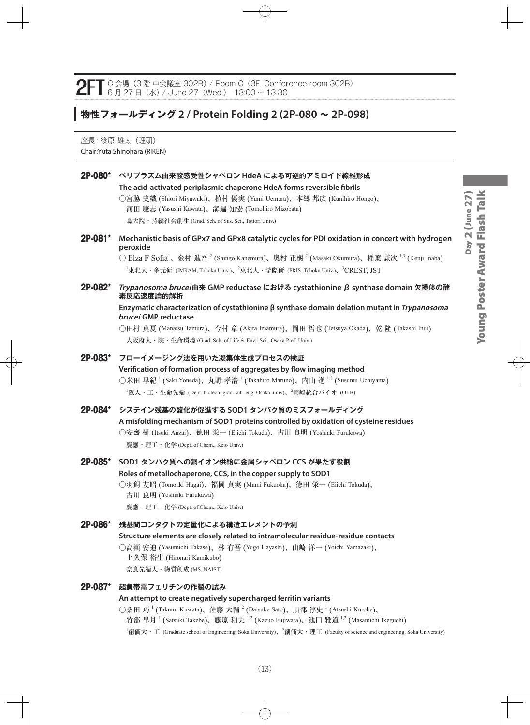**2FT** C 会場 (3 階 中会議室 302B) / Room C (3F, Conference room 302B)<br>8 G <sub>月</sub> 27 日 (水) / June 27 (Wed.) 13:00 ~ 13:30

# **物性フォールディング 2 / Protein Folding 2 (2P-080 ~ 2P-098)**

座長: 篠原 雄太 (理研) Chair:Yuta Shinohara (RIKEN)

|         | 2P-080* ペリプラズム由来酸感受性シャペロン HdeA による可逆的アミロイド線維形成<br>The acid-activated periplasmic chaperone HdeA forms reversible fibrils<br>○宮脇 史織 (Shiori Miyawaki)、植村 優実 (Yumi Uemura)、本郷 邦広 (Kunihiro Hongo)、<br>河田 康志 (Yasushi Kawata)、溝端 知宏 (Tomohiro Mizobata)<br>鳥大院・持続社会創生 (Grad. Sch. of Sus. Sci., Tottori Univ.)                                                                           |
|---------|---------------------------------------------------------------------------------------------------------------------------------------------------------------------------------------------------------------------------------------------------------------------------------------------------------------------------------------------------------------------------------------|
| 2P-081* | Mechanistic basis of GPx7 and GPx8 catalytic cycles for PDI oxidation in concert with hydrogen<br>peroxide<br>○ Elza F Sofia <sup>1</sup> 、金村 進吾 <sup>2</sup> (Shingo Kanemura)、奥村 正樹 <sup>2</sup> (Masaki Okumura)、稲葉 謙次 <sup>1,3</sup> (Kenji Inaba)<br><sup>1</sup> 東北大・多元研 (IMRAM, Tohoku Univ.)、 <sup>2</sup> 東北大・学際研 (FRIS, Tohoku Univ.)、 <sup>3</sup> CREST, JST              |
| 2P-082* | Trypanosoma brucei由来 GMP reductase における cystathionine β synthase domain 欠損体の酵<br>素反応速度論的解析<br>Enzymatic characterization of cystathionine $\beta$ synthase domain delation mutant in Trypanosoma<br>brucei GMP reductase<br>○田村 真夏 (Manatsu Tamura)、今村 章 (Akira Imamura)、岡田 哲也 (Tetsuya Okada)、乾 隆 (Takashi Inui)<br>大阪府大・院・生命環境 (Grad. Sch. of Life & Envi. Sci., Osaka Pref. Univ.) |
|         | 2P-083* フローイメージング法を用いた凝集体生成プロセスの検証<br>Verification of formation process of aggregates by flow imaging method<br>○米田 早紀 <sup>1</sup> (Saki Yoneda)、丸野 孝浩 <sup>1</sup> (Takahiro Maruno)、内山 進 <sup>1,2</sup> (Susumu Uchiyama)<br><sup>1</sup> 阪大・工・生命先端 (Dept. biotech. grad. sch. eng. Osaka. univ)、 <sup>2</sup> 岡崎統合バイオ (OIIB)                                                      |
| 2P-084* | システイン残基の酸化が促進する SOD1 タンパク質のミスフォールディング<br>A misfolding mechanism of SOD1 proteins controlled by oxidation of cysteine residues<br>○安齋 樹 (Itsuki Anzai)、徳田 栄一 (Eiichi Tokuda)、古川 良明 (Yoshiaki Furukawa)                                                                                                                                                                                 |
|         | 慶應·理工·化学 (Dept. of Chem., Keio Univ.)                                                                                                                                                                                                                                                                                                                                                 |
|         | 2P-085* SOD1 タンパク質への銅イオン供給に金属シャペロン CCS が果たす役割<br>Roles of metallochaperone, CCS, in the copper supply to SOD1<br>○羽飼 友昭 (Tomoaki Hagai)、福岡 真実 (Mami Fukuoka)、徳田 栄一 (Eiichi Tokuda)、<br>古川 良明 (Yoshiaki Furukawa)<br>慶應·理工·化学 (Dept. of Chem., Keio Univ.)                                                                                                                             |
| 2P-086* | 残基間コンタクトの定量化による構造エレメントの予測<br>Structure elements are closely related to intramolecular residue-residue contacts<br>○高瀬 安迪 (Yasumichi Takase)、林 有吾 (Yugo Hayashi)、山崎 洋一 (Yoichi Yamazaki)、<br>上久保 裕生 (Hironari Kamikubo)<br>奈良先端大·物質創成 (MS, NAIST)                                                                                                                                      |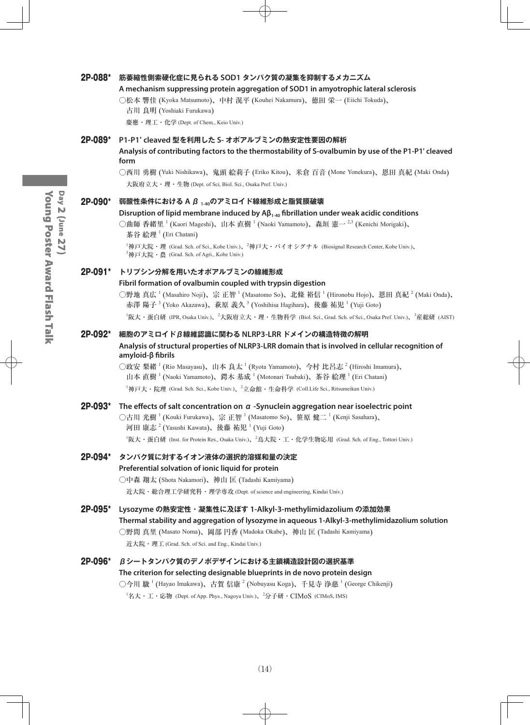#### 2P-088\* **筋萎縮性側索硬化症に見られる SOD1 タンパク質の凝集を抑制するメカニズム**

#### **A mechanism suppressing protein aggregation of SOD1 in amyotrophic lateral sclerosis**

○松本 響佳 (Kyoka Matsumoto)、中村 滉平 (Kouhei Nakamura)、徳田 栄一 (Eiichi Tokuda)、

| 古川 良明 (Yoshiaki Furukawa) |  |  |
|---------------------------|--|--|
|---------------------------|--|--|

慶應・理工・化学 (Dept. of Chem., Keio Univ.)

#### 2P-089\* **P1-P1' cleaved 型を利用した S- オボアルブミンの熱安定性要因の解析**

**Analysis of contributing factors to the thermostability of S-ovalbumin by use of the P1-P1' cleaved form**

○西川 勇樹 (Yuki Nishikawa)、鬼頭 絵莉子 (Eriko Kitou)、米倉 百音 (Mone Yonekura)、恩田 真紀 (Maki Onda) 大阪府立大・理・生物 (Dept. of Sci, Biol. Sci., Osaka Pref. Univ.)

#### 2P-090\* **弱酸性条件における A β 1-40のアミロイド線維形成と脂質膜破壊**

#### **Disruption of lipid membrane induced by Aβ1-40 fibrillation under weak acidic conditions**

○曲師 香緒里 <sup>1</sup> (Kaori Mageshi)、山本 直樹 <sup>1</sup> (Naoki Yamamoto)、森垣 憲一 <sup>2,3</sup> (Kenichi Morigaki)、 茶谷 絵理<sup>1</sup> (Eri Chatani)

 $^1$ 神戸大院・理 (Grad. Sch. of Sci., Kobe Univ.)、 $^2$ 神戸大・バイオシグナル (Biosignal Research Center, Kobe Univ.)、 3 神戸大院・農 (Grad. Sch. of Agri., Kobe Univ.)

#### 2P-091\* **トリプシン分解を用いたオボアルブミンの線維形成**

#### **Fibril formation of ovalbumin coupled with trypsin digestion**

○野地 真広 <sup>1</sup> (Masahiro Noji)、宗 正智 <sup>1</sup> (Masatomo So)、北條 裕信 <sup>1</sup> (Hironobu Hojo)、恩田 真紀 <sup>2</sup> (Maki Onda)、 赤澤 陽子  $^3$  (Yoko Akazawa)、萩原 義久  $^3$  (Yoshihisa Hagihara)、後藤 祐児  $^1$  (Yuji Goto)

<sup>1</sup>阪大・蛋白研 (IPR, Osaka Univ.)、<sup>2</sup>大阪府立大・理・生物科学 (Biol. Sci., Grad. Sch. of Sci., Osaka Pref. Univ.)、<sup>3</sup>産総研 (AIST)

#### 2P-092\* **細胞のアミロイドβ線維認識に関わる NLRP3-LRR ドメインの構造特徴の解明**

#### **Analysis of structural properties of NLRP3-LRR domain that is involved in cellular recognition of amyloid-β fibrils**

○政安 梨緒 <sup>1</sup> (Rio Masayasu)、山本 良太 <sup>1</sup> (Ryota Yamamoto)、今村 比呂志 <sup>2</sup> (Hiroshi Imamura)、 山本 直樹<sup>1</sup> (Naoki Yamamoto)、鍔木 基成<sup>1</sup> (Motonari Tsubaki)、茶谷 絵理<sup>1</sup> (Eri Chatani)  $^1$ 神戸大・院理 (Grad. Sch. Sci., Kobe Univ.)、 $^2$ 立命館・生命科学 (Coll.Life Sci., Ritsumeikan Univ.)

#### 2P-093\* **The effects of salt concentration on α -Synuclein aggregation near isoelectric point** ○古川 光樹  $^1$  (Kouki Furukawa)、宗 正智  $^1$  (Masatomo So)、笹原 健二  $^1$  (Kenji Sasahara)、 河田 康志  $^2$  (Yasushi Kawata)、後藤 祐児  $^1$  (Yuji Goto)  $^1$ 阪大・蛋白研 (Inst. for Protein Res., Osaka Univ.)、 $^2$ 鳥大院・工・化学生物応用 (Grad. Sch. of Eng., Tottori Univ.)

#### 2P-094\* **タンパク質に対するイオン液体の選択的溶媒和量の決定 Preferential solvation of ionic liquid for protein**

# ○中森 翔太 (Shota Nakamori)、神山 匡 (Tadashi Kamiyama)

近大院・総合理工学研究科・理学専攻 (Dept. of science and engineering, Kindai Univ.)

#### 2P-095\* **Lysozyme の熱安定性・凝集性に及ぼす 1-Alkyl-3-methylimidazolium の添加効果 Thermal stability and aggregation of lysozyme in aqueous 1-Alkyl-3-methylimidazolium solution** ○野間 真里 (Masato Noma)、岡部 円香 (Madoka Okabe)、神山 匡 (Tadashi Kamiyama)

近大院・理工 (Grad. Sch. of Sci. and Eng., Kindai Univ.)

#### 2P-096\* **βシートタンパク質のデノボデザインにおける主鎖構造設計図の選択基準**

#### **The criterion for selecting designable blueprints in de novo protein design**

○今川 駿 <sup>1</sup> (Hayao Imakawa)、古賀 信康 <sup>2</sup> (Nobuyasu Koga)、千見寺 浄慈 <sup>1</sup> (George Chikenji)  $^1$ 名大・工・応物 (Dept. of App. Phys., Nagoya Univ.)、 $^2$ 分子研・ $\rm CIMoS$  (CIMoS, IMS)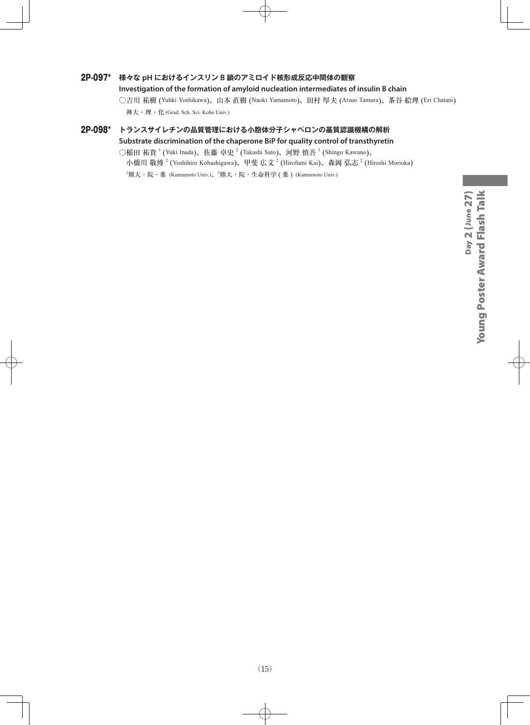#### 2P-097\* **様々な pH におけるインスリン B 鎖のアミロイド核形成反応中間体の観察**

**Investigation of the formation of amyloid nucleation intermediates of insulin B chain**

○吉川 祐樹 (Yuhki Yoshikawa)、山本 直樹 (Naoki Yamamoto)、田村 厚夫 (Atsuo Tamura)、茶谷 絵理 (Eri Chatani) 神大・理・化 (Grad. Sch. Sci. Kobe Univ.)

#### 2P-098\* **トランスサイレチンの品質管理における小胞体分子シャペロンの基質認識機構の解析 Substrate discrimination of the chaperone BiP for quality control of transthyretin**

○稲田 祐貴  $^1$  (Yuki Inada)、佐藤 卓史  $^2$  (Takashi Sato)、河野 慎吾  $^1$  (Shingo Kawano)、 小橋川 敬博  $^2$  (Yoshihiro Kobashigawa)、甲斐 広文  $^2$  (Hirofumi Kai)、森岡 弘志  $^2$  (Hiroshi Morioka)  $^{\rm l}$ 熊大・院・薬 (Kumamoto Univ.)、 $^{\rm 2}$ 熊大・院・生命科学 ( 薬 ) (Kumamoto Univ.)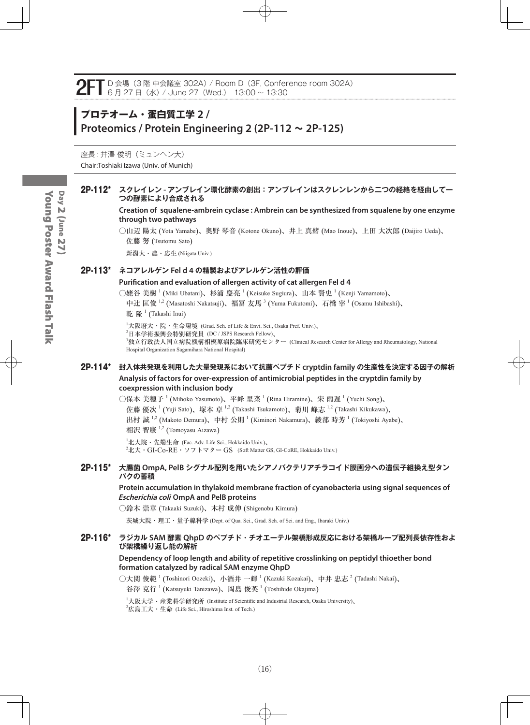# **プロテオーム・蛋白質工学 2 / Proteomics / Protein Engineering 2 (2P-112 ~ 2P-125)**

座長:井澤俊明(ミュンヘン大) Chair:Toshiaki Izawa (Univ. of Munich)

#### 2P-112\* **スクレイレン - アンブレイン環化酵素の創出:アンブレインはスクレンレンから二つの経絡を経由して一 つの酵素により合成される**

**Creation of squalene-ambrein cyclase : Ambrein can be synthesized from squalene by one enzyme through two pathways**

○山辺 陽太 (Yota Yamabe)、奥野 琴音 (Kotone Okuno)、井上 真緒 (Mao Inoue)、上田 大次郎 (Daijiro Ueda)、 佐藤 努 (Tsutomu Sato)

新潟大・農・応生 (Niigata Univ.)

#### 2P-113\* **ネコアレルゲン Fel d 4 の精製およびアレルゲン活性の評価**

#### **Purification and evaluation of allergen activity of cat allergen Fel d 4**

○姥谷 美樹  $^1$  (Miki Ubatani)、杉浦 慶亮  $^1$  (Keisuke Sugiura)、山本 賢史  $^1$  (Kenji Yamamoto)、

中辻 匡俊 <sup>1,2</sup> (Masatoshi Nakatsuji)、福冨 友馬 <sup>3</sup> (Yuma Fukutomi)、石橋 宰 <sup>1</sup> (Osamu Ishibashi)、 乾 隆  $^1$  (Takashi Inui)

1 大阪府大・院・生命環境 (Grad. Sch. of Life & Envi. Sci., Osaka Pref. Univ.)、

2 日本学術振興会特別研究員 (DC / JSPS Research Fellow)、

3 独立行政法人国立病院機構相模原病院臨床研究センター (Clinical Research Center for Allergy and Rheumatology, National Hospital Organization Sagamihara National Hospital)

#### 2P-114\* **封入体共発現を利用した大量発現系において抗菌ペプチド cryptdin family の生産性を決定する因子の解析 Analysis of factors for over-expression of antimicrobial peptides in the cryptdin family by coexpression with inclusion body**

○保本 美穂子 <sup>1</sup> (Mihoko Yasumoto)、平峰 里菜 <sup>1</sup> (Rina Hiramine)、宋 雨遅 <sup>1</sup> (Yuchi Song)、

佐藤 優次<sup>-1</sup> (Yuji Sato)、塚本 卓 <sup>1,2</sup> (Takashi Tsukamoto)、菊川 峰志 <sup>1,2</sup> (Takashi Kikukawa)、

出村 誠  $^{1,2}$  (Makoto Demura)、中村 公則  $^1$  (Kiminori Nakamura)、綾部 時芳  $^1$  (Tokiyoshi Ayabe)、 相沢 智康 <sup>1,2</sup> (Tomoyasu Aizawa)

1 北大院・先端生命 (Fac. Adv. Life Sci., Hokkaido Univ.)、  $^{2}$ 北大・GI-Co-RE・ソフトマター GS (Soft Matter GS, GI-CoRE, Hokkaido Univ.)

#### 2P-115\* **大腸菌 OmpA, PelB シグナル配列を用いたシアノバクテリアチラコイド膜画分への遺伝子組換え型タン パクの蓄積**

**Protein accumulation in thylakoid membrane fraction of cyanobacteria using signal sequences of Escherichia coli OmpA and PelB proteins**

○鈴木 崇章 (Takaaki Suzuki)、木村 成伸 (Shigenobu Kimura)

茨城大院・理工・量子線科学 (Dept. of Qua. Sci., Grad. Sch. of Sci. and Eng., Ibaraki Univ.)

#### 2P-116\* **ラジカル SAM 酵素 QhpD のペプチド・チオエーテル架橋形成反応における架橋ループ配列長依存性およ び架橋繰り返し能の解析**

#### **Dependency of loop length and ability of repetitive crosslinking on peptidyl thioether bond formation catalyzed by radical SAM enzyme QhpD**

○大関 俊範  $^1$  (Toshinori Oozeki)、小酒井 一輝  $^1$  (Kazuki Kozakai)、中井 忠志  $^2$  (Tadashi Nakai)、 谷澤 克行  $^1$  (Katsuyuki Tanizawa)、岡島 俊英  $^1$  (Toshihide Okajima)

1 大阪大学・産業科学研究所 (Institute of Scientific and Industrial Research, Osaka University)、

 $^{2}$ 広島工大・生命 (Life Sci., Hiroshima Inst. of Tech.)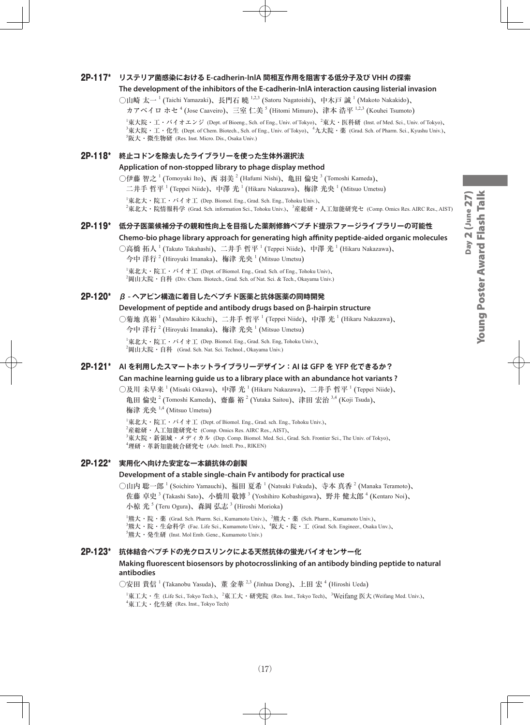#### 2P-117\* **リステリア菌感染における E-cadherin-InlA 間相互作用を阻害する低分子及び VHH の探索**

#### **The development of the inhibitors of the E-cadherin-InlA interaction causing listerial invasion**

○山崎 太一 <sup>1</sup> (Taichi Yamazaki)、長門石 曉 <sup>1,2,3</sup> (Satoru Nagatoishi)、中木戸 誠 <sup>1</sup> (Makoto Nakakido)、

カアベイロ ホセ<sup>4</sup> (Jose Caaveiro)、三室 仁美 <sup>5</sup> (Hitomi Mimuro)、津本 浩平 <sup>1,2,3</sup> (Kouhei Tsumoto)

 $^1$ 東大院・エ・バイオエンジ (Dept. of Bioeng., Sch. of Eng., Univ. of Tokyo)、 $^2$ 東大・医科研 (Inst. of Med. Sci., Univ. of Tokyo)、  ${}^3$ 東大院・工・化生 (Dept. of Chem. Biotech., Sch. of Eng., Univ. of Tokyo)、 ${}^4$ 九大院・薬 (Grad. Sch. of Pharm. Sci., Kyushu Univ.)、 5 阪大・微生物研 (Res. Inst. Micro. Dis., Osaka Univ.)

#### 2P-118\* **終止コドンを除去したライブラリーを使った生体外選択法**

#### **Application of non-stopped library to phage display method**

○伊藤 智之  $^1$  (Tomoyuki Ito)、西 羽美  $^2$  (Hafumi Nishi)、亀田 倫史  $^3$  (Tomoshi Kameda)、

二井手 哲平  $^1$  (Teppei Niide)、中澤 光  $^1$  (Hikaru Nakazawa)、梅津 光央  $^1$  (Mitsuo Umetsu)

1 東北大・院工・バイオ工 (Dep. Biomol. Eng., Grad. Sch. Eng., Tohoku Univ.)、 <sup>2</sup>東北大・院情報科学 (Grad. Sch. information Sci., Tohoku Univ.)、<sup>3</sup>産総研・人工知能研究セ (Comp. Omics Res. AIRC Res., AIST)

#### 2P-119\* **低分子医薬候補分子の親和性向上を目指した薬剤修飾ペプチド提示ファージライブラリーの可能性**

**Chemo-bio phage library approach for generating high affinity peptide-aided organic molecules**

○高橋 拓人 <sup>1</sup> (Takuto Takahashi)、二井手 哲平 <sup>1</sup> (Teppei Niide)、中澤 光 <sup>1</sup> (Hikaru Nakazawa)、

今中 洋行  $^{2}$  (Hiroyuki Imanaka)、梅津 光央  $^{1}$  (Mitsuo Umetsu)

 $^1$ 東北大・院工・バイオ工 (Dept. of Biomol. Eng., Grad. Sch. of Eng., Tohoku Univ)、  $^{2}$ 岡山大院・自科 (Div. Chem. Biotech., Grad. Sch. of Nat. Sci. & Tech., Okayama Univ.)

#### 2P-120\* **β - ヘアピン構造に着目したペプチド医薬と抗体医薬の同時開発**

#### **Development of peptide and antibody drugs based on β-hairpin structure**

○菊地 真裕 <sup>1</sup> (Masahiro Kikuchi)、二井手 哲平 <sup>1</sup> (Teppei Niide)、中澤 光 <sup>1</sup> (Hikaru Nakazawa)、 今中 洋行  $^{2}$  (Hiroyuki Imanaka)、梅津 光央  $^{1}$  (Mitsuo Umetsu)

1 東北大・院工・バイオ工 (Dep. Biomol. Eng., Grad. Sch. Eng, Tohoku Univ.)、  $^2$ 岡山大院・自科 (Grad. Sch. Nat. Sci. Technol., Okayama Univ.)

#### 2P-121\* **AI を利用したスマートホットライブラリーデザイン:AI は GFP を YFP 化できるか?**

**Can machine learning guide us to a library place with an abundance hot variants ?**

○及川 未早来  $^1$  (Misaki Oikawa)、中澤 光  $^1$  (Hikaru Nakazawa)、二井手 哲平  $^1$  (Teppei Niide)、 亀田 倫史<sup>2</sup> (Tomoshi Kameda)、齋藤 裕<sup>2</sup> (Yutaka Saitou)、津田 宏治 <sup>3,4</sup> (Koji Tsuda)、 梅津 光央 <sup>1,4</sup> (Mitsuo Umetsu)

 $^{\rm 1}$ 東北大・院工・バイオ工 (Dept. of Biomol. Eng., Grad. sch. Eng., Tohoku Univ.)、  $^2$ 産総研・人工知能研究セ (Comp. Omics Res. AIRC Res., AIST)、 3 東大院・新領域・メディカル (Dep. Comp. Biomol. Med. Sci., Grad. Sch. Frontier Sci., The Univ. of Tokyo)、 4 理研・革新知能統合研究セ (Adv. Intell. Pro., RIKEN)

#### 2P-122\* **実用化へ向けた安定な一本鎖抗体の創製**

#### **Development of a stable single-chain Fv antibody for practical use**

○山内 聡一郎  $^1$  (Soichiro Yamauchi)、福田 夏希  $^1$  (Natsuki Fukuda)、寺本 真香  $^2$  (Manaka Teramoto)、 佐藤 卓史 <sup>3</sup> (Takashi Sato)、小橋川 敬博 <sup>3</sup> (Yoshihiro Kobashigawa)、野井 健太郎 <sup>4</sup> (Kentaro Noi)、 小椋 光 5 (Teru Ogura)、森岡 弘志 <sup>3</sup> (Hiroshi Morioka)

<sup>1</sup>熊大・院・薬 (Grad. Sch. Pharm. Sci., Kumamoto Univ.)、<sup>2</sup>熊大・薬 (Sch. Pharm., Kumamoto Univ.)、<br><sup>3</sup>熊大・院・生命科学 (Fac. Life Sci., Kumamoto Univ.)、<sup>4</sup>阪大・院・工 (Grad. Sch. Engineer., Osaka Unv.)、 5 熊大・発生研 (Inst. Mol Emb. Gene., Kumamoto Univ.)

#### 2P-123\* **抗体結合ペプチドの光クロスリンクによる天然抗体の蛍光バイオセンサー化**

#### **Making fluorescent biosensors by photocrosslinking of an antibody binding peptide to natural antibodies**

○安田 貴信 <sup>1</sup> (Takanobu Yasuda)、董 金華 <sup>2,3</sup> (Jinhua Dong)、上田 宏 <sup>4</sup> (Hiroshi Ueda)

<sup>1</sup>東工大・生 (Life Sci., Tokyo Tech.)、<sup>2</sup>東工大・研究院 (Res. Inst., Tokyo Tech)、<sup>3</sup>Weifang 医大 (Weifang Med. Univ.)、 4 東工大・化生研 (Res. Inst., Tokyo Tech)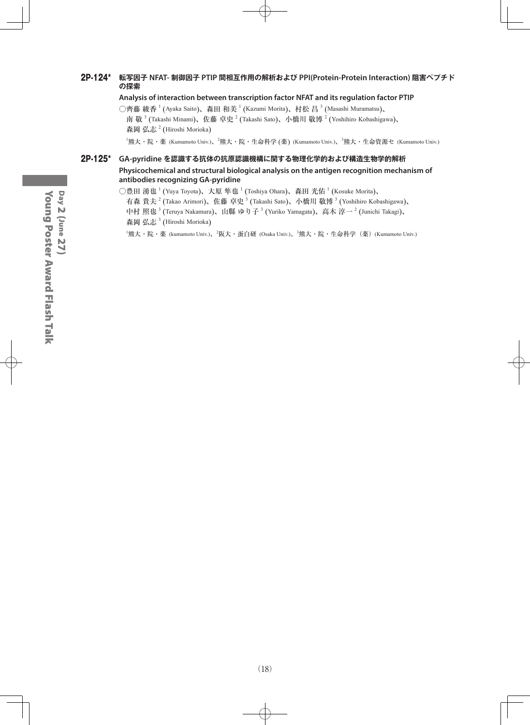#### 2P-124\* **転写因子 NFAT- 制御因子 PTIP 間相互作用の解析および PPI(Protein-Protein Interaction) 阻害ペプチド の探索**

**Analysis of interaction between transcription factor NFAT and its regulation factor PTIP**

○齊藤 綾香  $^1$  (Ayaka Saito)、森田 和美  $^1$  (Kazumi Morita)、村松 昌  $^3$  (Masashi Muramatsu)、 南 敬  $^3$  (Takashi Minami)、佐藤 卓史  $^2$  (Takashi Sato)、小橋川 敬博  $^2$  (Yoshihiro Kobashigawa)、 森岡 弘志<sup>2</sup> (Hiroshi Morioka)

<sup>1</sup>熊大・院・薬 (Kumamoto Univ.)、<sup>2</sup>熊大・院・生命科学 (薬) (Kumamoto Univ.)、<sup>3</sup>熊大・生命資源セ (Kumamoto Univ.)

#### 2P-125\* **GA-pyridine を認識する抗体の抗原認識機構に関する物理化学的および構造生物学的解析 Physicochemical and structural biological analysis on the antigen recognition mechanism of antibodies recognizing GA-pyridine**

○豊田 湧也  $^1$  (Yuya Toyota)、大原 隼也  $^1$  (Toshiya Ohara)、森田 光佑  $^1$  (Kosuke Morita)、

有森 貴夫  $^2$  (Takao Arimori)、佐藤 卓史  $^3$  (Takashi Sato)、小橋川 敬博  $^3$  (Yoshihiro Kobashigawa)、

中村 照也  $^3$  (Teruya Nakamura)、山縣 ゆり子  $^3$  (Yuriko Yamagata)、高木 淳一  $^2$  (Junichi Takagi)、 森岡 弘志<sup>3</sup> (Hiroshi Morioka)

<sup>1</sup>熊大・院・薬 (kumamoto Univ.)、<sup>2</sup>阪大・蛋白研 (Osaka Univ.)、<sup>3</sup>熊大・院・生命科学(薬)(Kumamoto Univ.)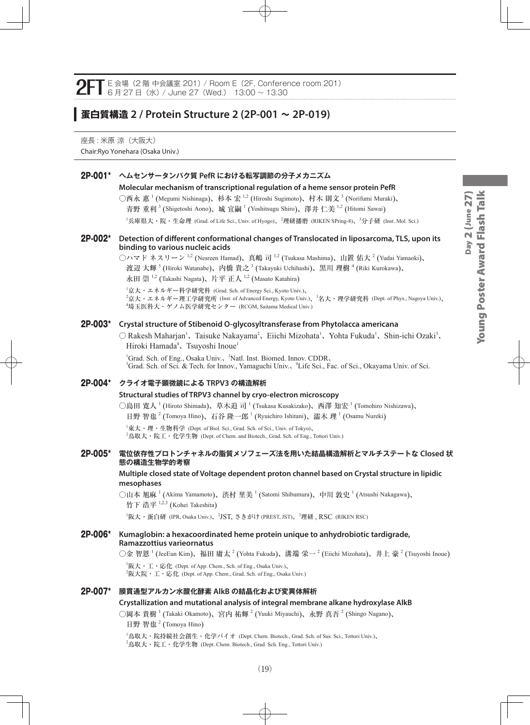## **蛋白質構造 2 / Protein Structure 2 (2P-001 ~ 2P-019)**

座長 : 米原 涼 (大阪大) Chair:Ryo Yonehara (Osaka Univ.)

#### 2P-001\* **ヘムセンサータンパク質 PefR における転写調節の分子メカニズム**

#### **Molecular mechanism of transcriptional regulation of a heme sensor protein PefR**

○西永 惠 <sup>1</sup> (Megumi Nishinaga)、杉本 宏 <sup>1,2</sup> (Hiroshi Sugimoto)、村木 則文 <sup>3</sup> (Norifumi Muraki)、 青野 重利  $^3$  (Shigetoshi Aono)、城 宜嗣  $^1$  (Yoshitsugu Shiro)、澤井 仁美  $^{1,2}$  (Hitomi Sawai)

<sup>1</sup>兵庫県大・院・生命理 (Grad. of Life Sci., Univ. of Hyogo)、<sup>2</sup>理研播磨 (RIKEN SPring-8)、<sup>3</sup>分子研 (Inst. Mol. Sci.)

#### 2P-002\* **Detection of different conformational changes of Translocated in liposarcoma, TLS, upon its binding to various nucleic acids**

◯ハマド ネスリーン  $^{1,2}$  (Nesreen Hamad)、真嶋 司  $^{1,2}$  (Tsukasa Mashima)、山置 佑大  $^2$  (Yudai Yamaoki)、 渡辺 大輝 <sup>3</sup> (Hiroki Watanabe)、内橋 貴之 <sup>3</sup> (Takayuki Uchihashi)、黒川 理樹 <sup>4</sup> (Riki Kurokawa)、 永田 崇  $^{1,2}$  (Takashi Nagata)、片平 正人  $^{1,2}$  (Masato Katahira)

1 京大・エネルギー科学研究科 (Grad. Sch. of Energy Sci., Kyoto Univ.)、

2 京大・エネルギー理工学研究所 (Inst. of Advanced Energy, Kyoto Univ.)、<sup>3</sup> 名大・理学研究科 (Dept. of Phys., Nagoya Univ.)、 4 埼玉医科大・ゲノム医学研究センター (RCGM, Saitama Medical Univ.)

#### 2P-003\* **Crystal structure of Stibenoid O-glycosyltransferase from Phytolacca americana**

 $\bigcirc$  Rakesh Maharjan<sup>1</sup>, Taisuke Nakayama<sup>2</sup>, Eiichi Mizohata<sup>1</sup>, Yohta Fukuda<sup>1</sup>, Shin-ichi Ozaki<sup>3</sup>, Hiroki Hamada<sup>4</sup>、Tsuyoshi Inoue<sup>1</sup>

<sup>1</sup>Grad. Sch. of Eng., Osaka Univ., <sup>2</sup>Natl. Inst. Biomed. Innov. CDDR, 3 Grad. Sch. of Sci. & Tech. for Innov., Yamaguchi Univ.、<sup>4</sup> Life Sci., Fac. of Sci., Okayama Univ. of Sci.

#### 2P-004\* **クライオ電子顕微鏡による TRPV3 の構造解析**

#### **Structural studies of TRPV3 channel by cryo-electron microscopy**

○島田 寛人  $^1$  (Hiroto Shimada)、草木迫 司  $^1$  (Tsukasa Kusakizako)、西澤 知宏  $^1$  (Tomohiro Nishizawa)、 日野 智也<sup>2</sup> (Tomoya Hino)、石谷 隆一郎<sup>1</sup> (Ryuichiro Ishitani)、濡木 理<sup>1</sup> (Osamu Nureki)

 $^{\rm 1}$ 東大・理・生物科学 (Dept. of Biol. Sci., Grad. Sch. of Sci., Univ. of Tokyo)、

 $^2$ 鳥取大・院工・化学生物 (Dept. of Chem. and Biotech., Grad. Sch. of Eng., Tottori Univ.)

#### 2P-005\* **電位依存性プロトンチャネルの脂質メソフェーズ法を用いた結晶構造解析とマルチステートな Closed 状 態の構造生物学的考察**

#### **Multiple closed state of Voltage dependent proton channel based on Crystal structure in lipidic mesophases**

○山本 旭麻 <sup>1</sup> (Akima Yamamoto)、渋村 里美 <sup>1</sup> (Satomi Shibumura)、中川 敦史 <sup>1</sup> (Atsushi Nakagawa)、 竹下 浩平 1,2,3 (Kohei Takeshita)

 $^{\rm I}$ 阪大・蛋白研 (IPR, Osaka Univ.)、 $^{\rm 2}$ JST, さきがけ (PREST, JST)、 $^{\rm 3}$ 理研 , <code>RSC</code> (RIKEN RSC)

#### 2P-006\* **Kumaglobin: a hexacoordinated heme protein unique to anhydrobiotic tardigrade, Ramazzottius varieornatus**

○金 智恩 <sup>1</sup> (JeeEun Kim)、福田 庸太 <sup>2</sup> (Yohta Fukuda)、溝端 栄一 <sup>2</sup> (Eiichi Mizohata)、井上 豪 <sup>2</sup> (Tsuyoshi Inoue)

 ${}^{1}\mathbb{R}$ 大・工・応化 (Dept. of App. Chem., Sch. of Eng., Osaka Univ.)、

 $^{2}$ 阪大院・工・応化 (Dept. of App. Chem., Grad. Sch. of Eng., Osaka Univ.)

#### 2P-007\* **膜貫通型アルカン水酸化酵素 AlkB の結晶化および変異体解析**

#### **Crystallization and mutational analysis of integral membrane alkane hydroxylase AlkB**

○岡本 貴樹 <sup>1</sup> (Takaki Okamoto)、宮内 祐輝 <sup>2</sup> (Yuuki Miyauchi)、永野 真吾 <sup>2</sup> (Shingo Nagano)、 日野 智也<sup>2</sup> (Tomoya Hino)

1 鳥取大・院持続社会創生・化学バイオ (Dept. Chem. Biotech., Grad. Sch. of Sus. Sci., Tottori Univ.)、  $^2$ 鳥取大・院工・化学生物 (Dept. Chem. Biotech., Grad. Sch. Eng., Tottori Univ.)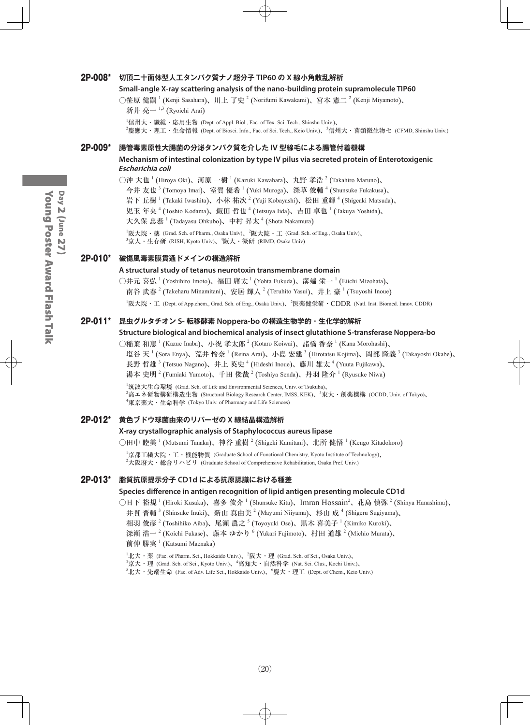#### 2P-008\* **切頂二十面体型人工タンパク質ナノ超分子 TIP60 の X 線小角散乱解析**

#### **Small-angle X-ray scattering analysis of the nano-building protein supramolecule TIP60**

○笹原 健嗣 <sup>1</sup> (Kenji Sasahara)、川上 了史 <sup>2</sup> (Norifumi Kawakami)、宮本 憲二 <sup>2</sup> (Kenji Miyamoto)、

```
新井 亮一 ^{1,3} (Ryoichi Arai)
```
 $^1$ 信州大・繊維・応用生物 (Dept. of Appl. Biol., Fac. of Tex. Sci. Tech., Shinshu Univ.)、

2 慶應大・理工・生命情報 (Dept. of Biosci. Info., Fac. of Sci. Tech., Keio Univ.)、<sup>3</sup> 信州大・菌類微生物セ (CFMD, Shinshu Univ.)

#### 2P-009\* **腸管毒素原性大腸菌の分泌タンパク質を介した IV 型線毛による腸管付着機構**

#### **Mechanism of intestinal colonization by type IV pilus via secreted protein of Enterotoxigenic Escherichia coli**

○沖 大也  $^1$  (Hiroya Oki)、河原 一樹  $^1$  (Kazuki Kawahara)、丸野 孝浩  $^2$  (Takahiro Maruno)、

今井 友也 <sup>3</sup> (Tomoya Imai)、室賀 優希 <sup>1</sup> (Yuki Muroga)、深草 俊輔 <sup>4</sup> (Shunsuke Fukakusa)、

岩下 丘樹  $^1$  (Takaki Iwashita)、小林 祐次  $^2$  (Yuji Kobayashi)、松田 重輝  $^4$  (Shigeaki Matsuda)、

児玉 年央  $^4$  (Toshio Kodama)、飯田 哲也  $^4$  (Tetsuya Iida)、吉田 卓也  $^1$  (Takuya Yoshida)、

大久保 忠恭 <sup>1</sup> (Tadayasu Ohkubo)、中村 昇太 <sup>4</sup> (Shota Nakamura)

 ${}^{1}\!\overline{\bm{W}}$ 大院・薬 (Grad. Sch. of Pharm., Osaka Univ)、 ${}^{2}\!\overline{\bm{W}}$ 大院・工 (Grad. Sch. of Eng., Osaka Univ)、  $^3$ 京大・生存研 (RISH, Kyoto Univ)、 $^4$ 阪大・微研 (RIMD, Osaka Univ)

#### 2P-010\* **破傷風毒素膜貫通ドメインの構造解析**

#### **A structural study of tetanus neurotoxin transmembrane domain**

○井元 喜弘 <sup>1</sup> (Yoshihiro Imoto)、福田 庸太 <sup>1</sup> (Yohta Fukuda)、溝端 栄一 <sup>1</sup> (Eiichi Mizohata)、 南谷 武春  $^{2}$  (Takeharu Minamitani)、安居 輝人  $^{2}$  (Teruhito Yasui)、井上 豪  $^{1}$  (Tsuyoshi Inoue)

<sup>1</sup>阪大院・工 (Dept. of App.chem., Grad. Sch. of Eng., Osaka Univ.)、<sup>2</sup>医薬健栄研・CDDR (Natl. Inst. Biomed. Innov. CDDR)

#### 2P-011\* **昆虫グルタチオン S- 転移酵素 Noppera-bo の構造生物学的・生化学的解析**

#### **Structure biological and biochemical analysis of insect glutathione S-transferase Noppera-bo**

○稲葉 和恵 <sup>1</sup> (Kazue Inaba)、小祝 孝太郎 <sup>2</sup> (Kotaro Koiwai)、諸橋 香奈 <sup>1</sup> (Kana Morohashi)、

塩谷 天  $^1$  (Sora Enya)、荒井 怜奈  $^1$  (Reina Arai)、小島 宏建  $^3$  (Hirotatsu Kojima)、岡部 隆義  $^3$  (Takayoshi Okabe)、 長野 哲雄 <sup>3</sup> (Tetsuo Nagano)、井上 英史 <sup>4</sup> (Hideshi Inoue)、藤川 雄太 <sup>4</sup> (Yuuta Fujikawa)、

湯本 史明 <sup>2</sup> (Fumiaki Yumoto)、千田 俊哉 <sup>2</sup> (Toshiya Senda)、丹羽 隆介 <sup>1</sup> (Ryusuke Niwa)

1 筑波大生命環境 (Grad. Sch. of Life and Environmental Sciences, Univ. of Tsukuba)、

<sup>2</sup>高エネ研物構研構造生物 (Structural Biology Research Center, IMSS, KEK)、<sup>3</sup>東大・創薬機構 (OCDD, Univ. of Tokyo)、 4 東京薬大・生命科学 (Tokyo Univ. of Pharmacy and Life Sciences)

#### 2P-012\* **黄色ブドウ球菌由来のリパーゼの X 線結晶構造解析**

#### **X-ray crystallographic analysis of Staphylococcus aureus lipase**

○田中 睦美 <sup>1</sup> (Mutsumi Tanaka)、神谷 重樹 <sup>2</sup> (Shigeki Kamitani)、北所 健悟 <sup>1</sup> (Kengo Kitadokoro)

1 京都工繊大院・工・機能物質 (Graduate School of Functional Chemistry, Kyoto Institute of Technology)、  $^2$ 大阪府大・総合リハビリ(Graduate School of Comprehensive Rehabilitation, Osaka Pref. Univ.)

#### 2P-013\* **脂質抗原提示分子 CD1d による抗原認識における種差**

#### **Species difference in antigen recognition of lipid antigen presenting molecule CD1d**

○日下 裕規 <sup>1</sup> (Hiroki Kusaka)、喜多 俊介 <sup>1</sup> (Shunsuke Kita)、Imran Hossain<sup>2</sup>、花島 慎弥 <sup>2</sup> (Shinya Hanashima)、

井貫 晋輔  $^3$  (Shinsuke Inuki)、新山 真由美  $^2$  (Mayumi Niiyama)、杉山 成  $^4$  (Shigeru Sugiyama)、

相羽 俊彦  $^2$  (Toshihiko Aiba)、尾瀬 農之  $^5$  (Toyoyuki Ose)、黒木 喜美子  $^1$  (Kimiko Kuroki)、

深瀬 浩一  $^2$  (Koichi Fukase)、藤本 ゆかり  $^6$  (Yukari Fujimoto)、村田 道雄  $^2$  (Michio Murata)、

#### 前仲 勝実 <sup>1</sup> (Katsumi Maenaka)

 $^1$ 北大・薬 (Fac. of Pharm. Sci., Hokkaido Univ.)、 $^2$ 阪大・理 (Grad. Sch. of Sci., Osaka Univ.)、

 $^3$ 京大・理 (Grad. Sch. of Sci., Kyoto Univ.)、 $^4$ 高知大・自然科学 (Nat. Sci. Clus., Kochi Univ.)、

 $^5$ 北大・先端生命 (Fac. of Adv. Life Sci., Hokkaido Univ.)、 $^6$ 慶大・理工 (Dept. of Chem., Keio Univ.)